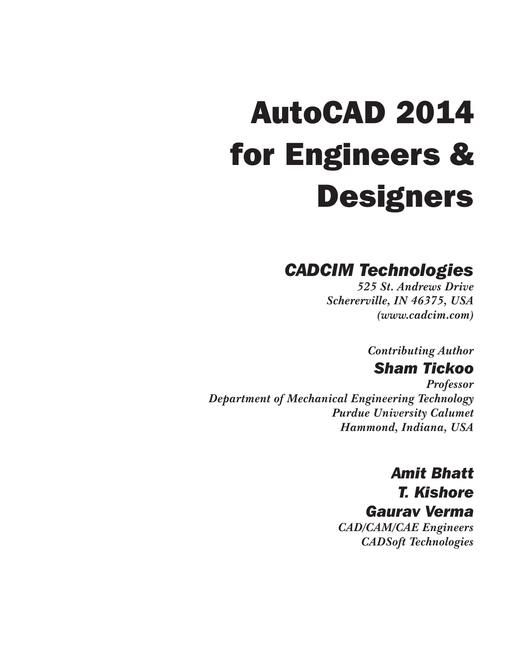# AutoCAD 2014 for Engineers & **Designers**

## *CADCIM Technologies*

*525 St. Andrews Drive Schererville, IN 46375, USA (www.cadcim.com)*

*Contributing Author*

## *Sham Tickoo*

*Professor Department of Mechanical Engineering Technology Purdue University Calumet Hammond, Indiana, USA*

> *Amit Bhatt T. Kishore Gaurav Verma CAD/CAM/CAE Engineers CADSoft Technologies*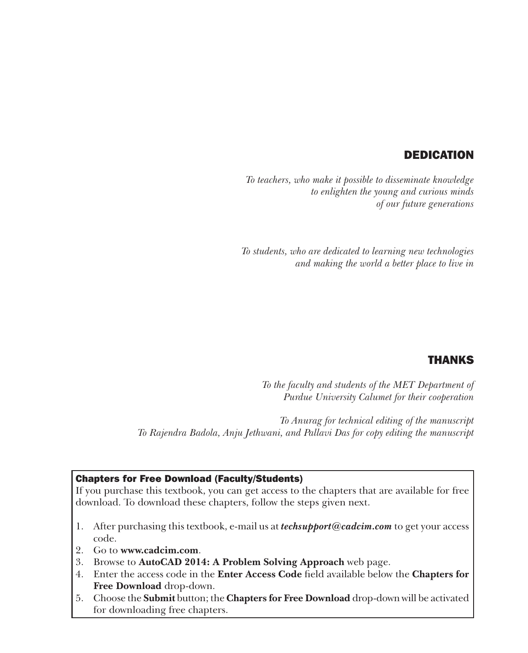#### DEDICATION

*To teachers, who make it possible to disseminate knowledge to enlighten the young and curious minds of our future generations*

*To students, who are dedicated to learning new technologies and making the world a better place to live in*

#### THANKS

*To the faculty and students of the MET Department of Purdue University Calumet for their cooperation*

*To Anurag for technical editing of the manuscript To Rajendra Badola, Anju Jethwani, and Pallavi Das for copy editing the manuscript*

#### Chapters for Free Download (Faculty/Students)

If you purchase this textbook, you can get access to the chapters that are available for free download. To download these chapters, follow the steps given next.

- 1. After purchasing this textbook, e-mail us at *techsupport@cadcim.com* to get your access code.
- 2. Go to **www.cadcim.com**.
- 3. Browse to **AutoCAD 2014: A Problem Solving Approach** web page.
- 4. Enter the access code in the **Enter Access Code** field available below the **Chapters for Free Download** drop-down.
- 5. Choose the **Submit** button; the **Chapters for Free Download** drop-down will be activated for downloading free chapters.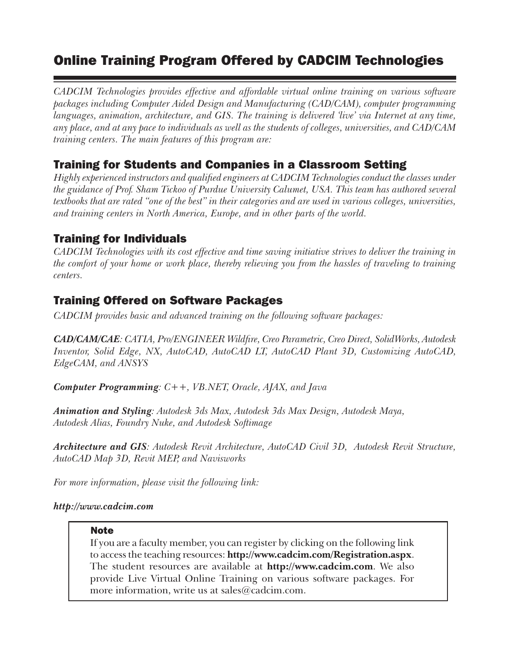#### Online Training Program Offered by CADCIM Technologies

*CADCIM Technologies provides effective and affordable virtual online training on various software packages including Computer Aided Design and Manufacturing (CAD/CAM), computer programming languages, animation, architecture, and GIS. The training is delivered 'live' via Internet at any time, any place, and at any pace to individuals as well as the students of colleges, universities, and CAD/CAM training centers. The main features of this program are:*

#### Training for Students and Companies in a Classroom Setting

*Highly experienced instructors and qualified engineers at CADCIM Technologies conduct the classes under the guidance of Prof. Sham Tickoo of Purdue University Calumet, USA. This team has authored several textbooks that are rated "one of the best" in their categories and are used in various colleges, universities, and training centers in North America, Europe, and in other parts of the world.*

#### Training for Individuals

*CADCIM Technologies with its cost effective and time saving initiative strives to deliver the training in the comfort of your home or work place, thereby relieving you from the hassles of traveling to training centers.*

#### Training Offered on Software Packages

*CADCIM provides basic and advanced training on the following software packages:*

*CAD/CAM/CAE: CATIA, Pro/ENGINEER Wildfire, Creo Parametric, Creo Direct, SolidWorks, Autodesk Inventor, Solid Edge, NX, AutoCAD, AutoCAD LT, AutoCAD Plant 3D, Customizing AutoCAD, EdgeCAM, and ANSYS*

*Computer Programming: C++, VB.NET, Oracle, AJAX, and Java*

*Animation and Styling: Autodesk 3ds Max, Autodesk 3ds Max Design, Autodesk Maya, Autodesk Alias, Foundry Nuke, and Autodesk Softimage*

*Architecture and GIS: Autodesk Revit Architecture, AutoCAD Civil 3D, Autodesk Revit Structure, AutoCAD Map 3D, Revit MEP, and Navisworks*

*For more information, please visit the following link:* 

#### *http://www.cadcim.com*

#### **Note**

If you are a faculty member, you can register by clicking on the following link to access the teaching resources: **http://www.cadcim.com/Registration.aspx**. The student resources are available at **http://www.cadcim.com**. We also provide Live Virtual Online Training on various software packages. For more information, write us at sales@cadcim.com.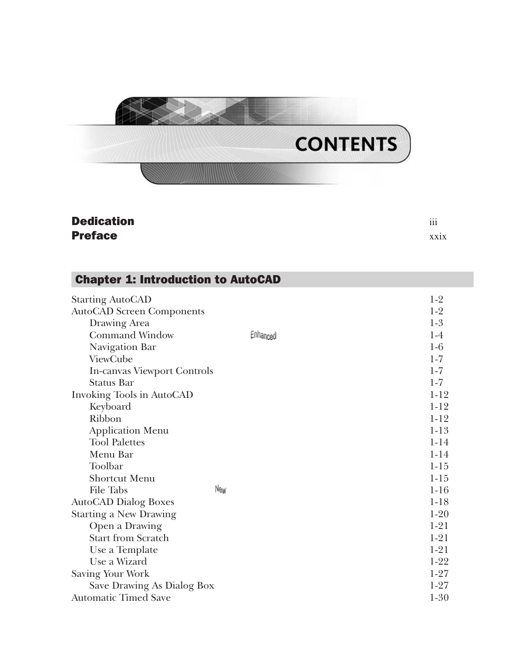

| <b>Dedication</b> | $\cdots$<br>111 |
|-------------------|-----------------|
| <b>Preface</b>    | XX1X            |

#### Chapter 1: Introduction to AutoCAD

| <b>Starting AutoCAD</b>          |          | $1-2$    |
|----------------------------------|----------|----------|
| <b>AutoCAD Screen Components</b> |          | $1-2$    |
| Drawing Area                     |          | $1-3$    |
| <b>Command Window</b>            | Enhanced | $1-4$    |
| Navigation Bar                   |          | $1-6$    |
| ViewCube                         |          | $1 - 7$  |
| In-canvas Viewport Controls      |          | $1-7$    |
| <b>Status Bar</b>                |          | $1-7$    |
| Invoking Tools in AutoCAD        |          | $1 - 12$ |
| Keyboard                         |          | $1-12$   |
| Ribbon                           |          | $1 - 12$ |
| <b>Application Menu</b>          |          | $1 - 13$ |
| <b>Tool Palettes</b>             |          | $1 - 14$ |
| Menu Bar                         |          | $1 - 14$ |
| Toolbar                          |          | $1 - 15$ |
| <b>Shortcut Menu</b>             |          | $1-15$   |
| <b>File Tabs</b>                 | New      | $1-16$   |
| <b>AutoCAD Dialog Boxes</b>      |          | $1-18$   |
| <b>Starting a New Drawing</b>    |          | $1-20$   |
| Open a Drawing                   |          | $1-21$   |
| <b>Start from Scratch</b>        |          | $1 - 21$ |
| Use a Template                   |          | $1 - 21$ |
| Use a Wizard                     |          | $1-22$   |
| Saving Your Work                 |          | $1-27$   |
| Save Drawing As Dialog Box       |          | $1 - 27$ |
| <b>Automatic Timed Save</b>      |          | $1-30$   |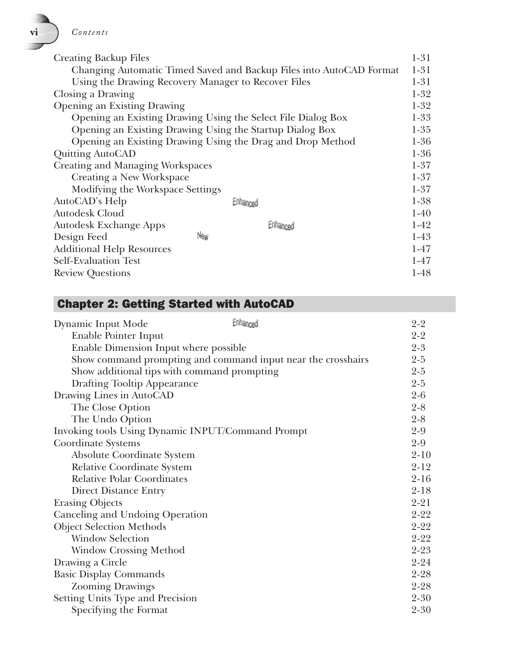| V1 | Contents |
|----|----------|
|----|----------|

| <b>Creating Backup Files</b>                             |     |                                                                     | $1 - 31$ |
|----------------------------------------------------------|-----|---------------------------------------------------------------------|----------|
|                                                          |     | Changing Automatic Timed Saved and Backup Files into AutoCAD Format | $1 - 31$ |
| Using the Drawing Recovery Manager to Recover Files      |     |                                                                     | $1 - 31$ |
| Closing a Drawing                                        |     |                                                                     | $1 - 32$ |
| <b>Opening an Existing Drawing</b>                       |     |                                                                     | $1-32$   |
|                                                          |     | Opening an Existing Drawing Using the Select File Dialog Box        | $1-33$   |
| Opening an Existing Drawing Using the Startup Dialog Box |     |                                                                     | $1 - 35$ |
|                                                          |     | Opening an Existing Drawing Using the Drag and Drop Method          | $1-36$   |
| <b>Quitting AutoCAD</b>                                  |     |                                                                     | $1 - 36$ |
| <b>Creating and Managing Workspaces</b>                  |     |                                                                     | $1 - 37$ |
| Creating a New Workspace                                 |     |                                                                     | $1 - 37$ |
| Modifying the Workspace Settings                         |     |                                                                     | $1 - 37$ |
| AutoCAD's Help                                           |     | Enhanced                                                            | $1 - 38$ |
| Autodesk Cloud                                           |     |                                                                     | $1-40$   |
| <b>Autodesk Exchange Apps</b>                            |     | Enhanced                                                            | $1-42$   |
| Design Feed                                              | New |                                                                     | $1-43$   |
| <b>Additional Help Resources</b>                         |     |                                                                     | $1-47$   |
| <b>Self-Evaluation Test</b>                              |     |                                                                     | $1-47$   |
| <b>Review Questions</b>                                  |     |                                                                     | $1-48$   |

## Chapter 2: Getting Started with AutoCAD

| Dynamic Input Mode                                | Enhanced                                                     | $2 - 2$  |
|---------------------------------------------------|--------------------------------------------------------------|----------|
| Enable Pointer Input                              |                                                              | $2 - 2$  |
| Enable Dimension Input where possible             |                                                              | $2 - 3$  |
|                                                   | Show command prompting and command input near the crosshairs | $2 - 5$  |
| Show additional tips with command prompting       |                                                              | $2 - 5$  |
| <b>Drafting Tooltip Appearance</b>                |                                                              | $2 - 5$  |
| Drawing Lines in AutoCAD                          |                                                              | $2 - 6$  |
| The Close Option                                  |                                                              | $2 - 8$  |
| The Undo Option                                   |                                                              | $2 - 8$  |
| Invoking tools Using Dynamic INPUT/Command Prompt |                                                              | $2 - 9$  |
| Coordinate Systems                                |                                                              | $2 - 9$  |
| <b>Absolute Coordinate System</b>                 |                                                              | $2 - 10$ |
| Relative Coordinate System                        |                                                              | $2 - 12$ |
| <b>Relative Polar Coordinates</b>                 |                                                              | $2 - 16$ |
| Direct Distance Entry                             |                                                              | $2 - 18$ |
| <b>Erasing Objects</b>                            |                                                              | $2 - 21$ |
| Canceling and Undoing Operation                   |                                                              | $2 - 22$ |
| <b>Object Selection Methods</b>                   |                                                              | $2 - 22$ |
| <b>Window Selection</b>                           |                                                              | $2 - 22$ |
| <b>Window Crossing Method</b>                     |                                                              | $2 - 23$ |
| Drawing a Circle                                  |                                                              | $2 - 24$ |
| <b>Basic Display Commands</b>                     |                                                              | $2 - 28$ |
| <b>Zooming Drawings</b>                           |                                                              | $2 - 28$ |
| Setting Units Type and Precision                  |                                                              | $2 - 30$ |
| Specifying the Format                             |                                                              | $2 - 30$ |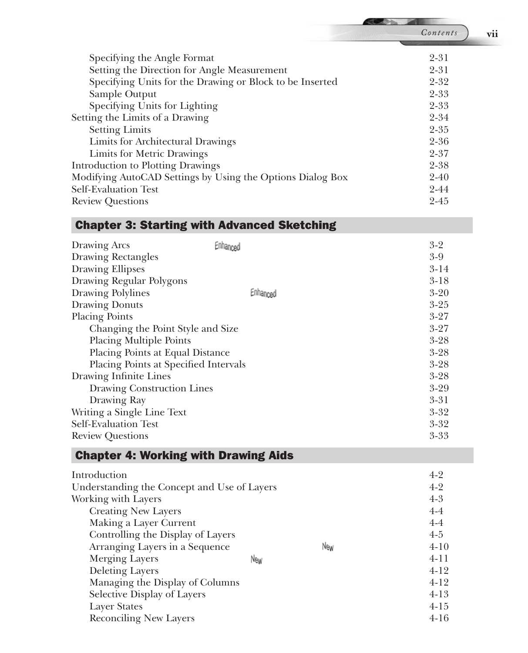| Specifying the Angle Format                                | $2 - 31$ |
|------------------------------------------------------------|----------|
| Setting the Direction for Angle Measurement                | $2 - 31$ |
| Specifying Units for the Drawing or Block to be Inserted   | $2 - 32$ |
| Sample Output                                              | $2 - 33$ |
| Specifying Units for Lighting                              | $2 - 33$ |
| Setting the Limits of a Drawing                            | $2 - 34$ |
| <b>Setting Limits</b>                                      | $2 - 35$ |
| Limits for Architectural Drawings                          | $2 - 36$ |
| Limits for Metric Drawings                                 | $2 - 37$ |
| <b>Introduction to Plotting Drawings</b>                   | $2 - 38$ |
| Modifying AutoCAD Settings by Using the Options Dialog Box | $2 - 40$ |
| Self-Evaluation Test                                       | $2 - 44$ |
| <b>Review Questions</b>                                    | $2 - 45$ |

#### Chapter 3: Starting with Advanced Sketching

| Drawing Arcs                          | Enhanced | $3 - 2$  |
|---------------------------------------|----------|----------|
| <b>Drawing Rectangles</b>             |          | $3-9$    |
| <b>Drawing Ellipses</b>               |          | $3-14$   |
| Drawing Regular Polygons              |          | $3-18$   |
| Drawing Polylines                     | Enhanced | $3 - 20$ |
| <b>Drawing Donuts</b>                 |          | $3 - 25$ |
| <b>Placing Points</b>                 |          | $3 - 27$ |
| Changing the Point Style and Size     |          | $3 - 27$ |
| <b>Placing Multiple Points</b>        |          | $3 - 28$ |
| Placing Points at Equal Distance      |          | $3 - 28$ |
| Placing Points at Specified Intervals |          | $3 - 28$ |
| Drawing Infinite Lines                |          | $3 - 28$ |
| Drawing Construction Lines            |          | $3-29$   |
| Drawing Ray                           |          | $3 - 31$ |
| Writing a Single Line Text            |          | $3 - 32$ |
| Self-Evaluation Test                  |          | $3 - 32$ |
| <b>Review Questions</b>               |          | $3 - 33$ |
|                                       |          |          |

#### Chapter 4: Working with Drawing Aids

| Introduction                                |     | $4-2$    |
|---------------------------------------------|-----|----------|
| Understanding the Concept and Use of Layers |     | $4-2$    |
| Working with Layers                         |     | $4 - 3$  |
| <b>Creating New Layers</b>                  |     | $4-4$    |
| Making a Layer Current                      |     | $4-4$    |
| Controlling the Display of Layers           |     | $4 - 5$  |
| Arranging Layers in a Sequence              | New | $4 - 10$ |
| <b>Merging Layers</b>                       | New | $4 - 11$ |
| <b>Deleting Layers</b>                      |     | $4-12$   |
| Managing the Display of Columns             |     | $4-12$   |
| Selective Display of Layers                 |     | $4-13$   |
| <b>Layer States</b>                         |     | $4 - 15$ |
| <b>Reconciling New Layers</b>               |     | $4 - 16$ |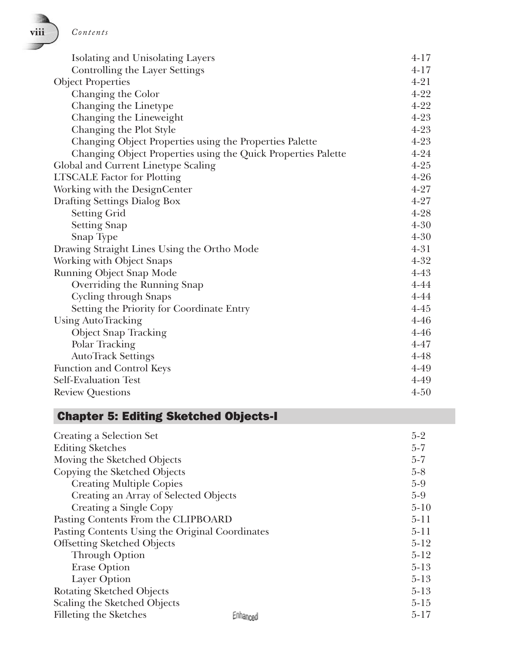| Isolating and Unisolating Layers                              | $4 - 17$ |
|---------------------------------------------------------------|----------|
| Controlling the Layer Settings                                | $4 - 17$ |
| <b>Object Properties</b>                                      | $4 - 21$ |
| Changing the Color                                            | $4 - 22$ |
| Changing the Linetype                                         | $4 - 22$ |
| Changing the Lineweight                                       | $4 - 23$ |
| Changing the Plot Style                                       | $4 - 23$ |
| Changing Object Properties using the Properties Palette       | $4 - 23$ |
| Changing Object Properties using the Quick Properties Palette | $4 - 24$ |
| Global and Current Linetype Scaling                           | $4 - 25$ |
| <b>LTSCALE</b> Factor for Plotting                            | $4 - 26$ |
| Working with the DesignCenter                                 | $4 - 27$ |
| Drafting Settings Dialog Box                                  | $4 - 27$ |
| <b>Setting Grid</b>                                           | $4 - 28$ |
| <b>Setting Snap</b>                                           | $4 - 30$ |
| Snap Type                                                     | $4 - 30$ |
| Drawing Straight Lines Using the Ortho Mode                   | $4 - 31$ |
| Working with Object Snaps                                     | $4 - 32$ |
| Running Object Snap Mode                                      | $4 - 43$ |
| Overriding the Running Snap                                   | 4-44     |
| <b>Cycling through Snaps</b>                                  | 4-44     |
| Setting the Priority for Coordinate Entry                     | $4 - 45$ |
| <b>Using AutoTracking</b>                                     | $4 - 46$ |
| <b>Object Snap Tracking</b>                                   | $4 - 46$ |
| Polar Tracking                                                | $4 - 47$ |
| <b>AutoTrack Settings</b>                                     | $4 - 48$ |
| Function and Control Keys                                     | 4-49     |
| <b>Self-Evaluation Test</b>                                   | 4-49     |
| <b>Review Questions</b>                                       | $4 - 50$ |

## Chapter 5: Editing Sketched Objects-I

| Creating a Selection Set                        |          | $5-2$    |
|-------------------------------------------------|----------|----------|
| <b>Editing Sketches</b>                         |          | $5 - 7$  |
| Moving the Sketched Objects                     |          | $5 - 7$  |
| Copying the Sketched Objects                    |          | $5 - 8$  |
| <b>Creating Multiple Copies</b>                 |          | $5-9$    |
| Creating an Array of Selected Objects           |          | $5-9$    |
| Creating a Single Copy                          |          | $5-10$   |
| Pasting Contents From the CLIPBOARD             |          | $5-11$   |
| Pasting Contents Using the Original Coordinates |          | $5-11$   |
| <b>Offsetting Sketched Objects</b>              |          | $5-12$   |
| <b>Through Option</b>                           |          | $5 - 12$ |
| <b>Erase Option</b>                             |          | $5-13$   |
| Layer Option                                    |          | $5 - 13$ |
| <b>Rotating Sketched Objects</b>                |          | $5 - 13$ |
| Scaling the Sketched Objects                    |          | $5-15$   |
| Filleting the Sketches                          | Enhanced | $5 - 17$ |

 **viii** *Contents*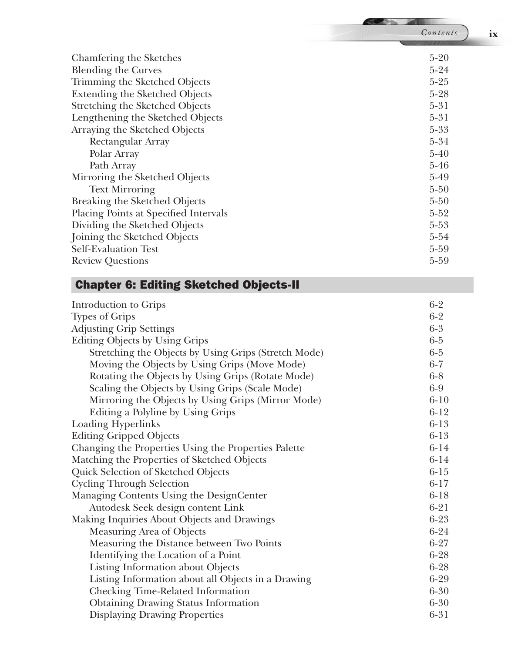|                                       | Contents<br>ix |
|---------------------------------------|----------------|
| Chamfering the Sketches               | $5-20$         |
| <b>Blending the Curves</b>            | $5-24$         |
| Trimming the Sketched Objects         | $5 - 25$       |
| <b>Extending the Sketched Objects</b> | $5 - 28$       |
| Stretching the Sketched Objects       | $5 - 31$       |
| Lengthening the Sketched Objects      | $5 - 31$       |
| Arraying the Sketched Objects         | $5 - 33$       |
| Rectangular Array                     | $5 - 34$       |
| Polar Array                           | $5-40$         |
| Path Array                            | $5 - 46$       |
| Mirroring the Sketched Objects        | $5-49$         |
| <b>Text Mirroring</b>                 | $5 - 50$       |
| Breaking the Sketched Objects         | $5 - 50$       |
| Placing Points at Specified Intervals | $5 - 52$       |
| Dividing the Sketched Objects         | $5 - 53$       |
| Joining the Sketched Objects          | 5-54           |
| Self-Evaluation Test                  | 5-59           |
| <b>Review Questions</b>               | 5-59           |

#### Chapter 6: Editing Sketched Objects-II

| Introduction to Grips                                | $6 - 2$  |
|------------------------------------------------------|----------|
| <b>Types of Grips</b>                                | $6 - 2$  |
| <b>Adjusting Grip Settings</b>                       | $6-3$    |
| Editing Objects by Using Grips                       | $6-5$    |
| Stretching the Objects by Using Grips (Stretch Mode) | $6-5$    |
| Moving the Objects by Using Grips (Move Mode)        | $6 - 7$  |
| Rotating the Objects by Using Grips (Rotate Mode)    | $6-8$    |
| Scaling the Objects by Using Grips (Scale Mode)      | $6-9$    |
| Mirroring the Objects by Using Grips (Mirror Mode)   | $6 - 10$ |
| Editing a Polyline by Using Grips                    | $6 - 12$ |
| Loading Hyperlinks                                   | $6 - 13$ |
| <b>Editing Gripped Objects</b>                       | $6 - 13$ |
| Changing the Properties Using the Properties Palette | $6 - 14$ |
| Matching the Properties of Sketched Objects          | $6 - 14$ |
| Quick Selection of Sketched Objects                  | $6 - 15$ |
| <b>Cycling Through Selection</b>                     | $6 - 17$ |
| Managing Contents Using the DesignCenter             | $6 - 18$ |
| Autodesk Seek design content Link                    | $6 - 21$ |
| Making Inquiries About Objects and Drawings          | $6 - 23$ |
| Measuring Area of Objects                            | $6 - 24$ |
| Measuring the Distance between Two Points            | $6 - 27$ |
| Identifying the Location of a Point                  | $6 - 28$ |
| Listing Information about Objects                    | $6 - 28$ |
| Listing Information about all Objects in a Drawing   | 6-29     |
| Checking Time-Related Information                    | $6 - 30$ |
| <b>Obtaining Drawing Status Information</b>          | $6 - 30$ |
| <b>Displaying Drawing Properties</b>                 | 6-31     |
|                                                      |          |

**ARCHARGED**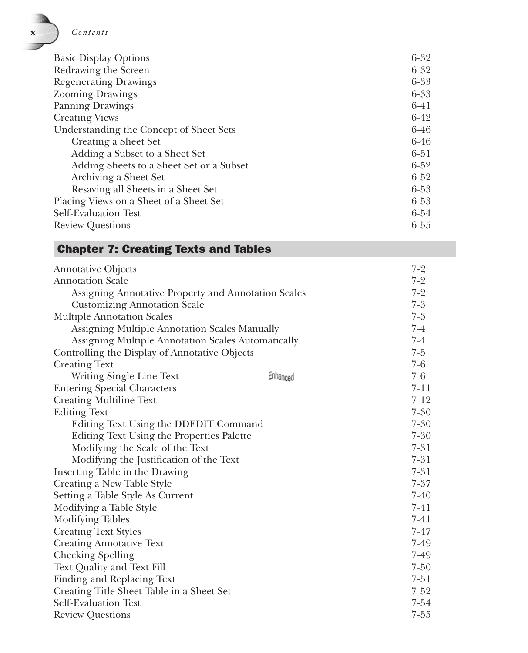

| <b>Basic Display Options</b>             | $6 - 32$ |
|------------------------------------------|----------|
| Redrawing the Screen                     | $6 - 32$ |
| <b>Regenerating Drawings</b>             | $6 - 33$ |
| <b>Zooming Drawings</b>                  | $6 - 33$ |
| Panning Drawings                         | $6 - 41$ |
| <b>Creating Views</b>                    | $6-42$   |
| Understanding the Concept of Sheet Sets  | $6 - 46$ |
| Creating a Sheet Set                     | $6 - 46$ |
| Adding a Subset to a Sheet Set           | 6-51     |
| Adding Sheets to a Sheet Set or a Subset | $6 - 52$ |
| Archiving a Sheet Set                    | $6 - 52$ |
| Resaving all Sheets in a Sheet Set       | $6 - 53$ |
| Placing Views on a Sheet of a Sheet Set  | $6 - 53$ |
| <b>Self-Evaluation Test</b>              | $6 - 54$ |
| <b>Review Questions</b>                  | $6 - 55$ |

#### Chapter 7: Creating Texts and Tables

| <b>Annotative Objects</b>                           |          | $7-2$    |
|-----------------------------------------------------|----------|----------|
| <b>Annotation Scale</b>                             |          | $7-2$    |
| Assigning Annotative Property and Annotation Scales |          | $7-2$    |
| <b>Customizing Annotation Scale</b>                 |          | $7-3$    |
| <b>Multiple Annotation Scales</b>                   |          | $7-3$    |
| Assigning Multiple Annotation Scales Manually       |          | $7-4$    |
| Assigning Multiple Annotation Scales Automatically  |          | $7-4$    |
| Controlling the Display of Annotative Objects       |          | $7 - 5$  |
| <b>Creating Text</b>                                |          | $7-6$    |
| Writing Single Line Text                            | Enhanced | 7-6      |
| <b>Entering Special Characters</b>                  |          | $7 - 11$ |
| <b>Creating Multiline Text</b>                      |          | $7 - 12$ |
| <b>Editing Text</b>                                 |          | $7 - 30$ |
| Editing Text Using the DDEDIT Command               |          | $7 - 30$ |
| Editing Text Using the Properties Palette           |          | $7 - 30$ |
| Modifying the Scale of the Text                     |          | $7 - 31$ |
| Modifying the Justification of the Text             |          | $7 - 31$ |
| Inserting Table in the Drawing                      |          | $7 - 31$ |
| Creating a New Table Style                          |          | $7 - 37$ |
| Setting a Table Style As Current                    |          | $7 - 40$ |
| Modifying a Table Style                             |          | 7-41     |
| <b>Modifying Tables</b>                             |          | 7-41     |
| <b>Creating Text Styles</b>                         |          | $7 - 47$ |
| <b>Creating Annotative Text</b>                     |          | 7-49     |
| <b>Checking Spelling</b>                            |          | 7-49     |
| Text Quality and Text Fill                          |          | $7 - 50$ |
| Finding and Replacing Text                          |          | $7 - 51$ |
| Creating Title Sheet Table in a Sheet Set           |          | $7 - 52$ |
| <b>Self-Evaluation Test</b>                         |          | $7 - 54$ |
| <b>Review Questions</b>                             |          | $7 - 55$ |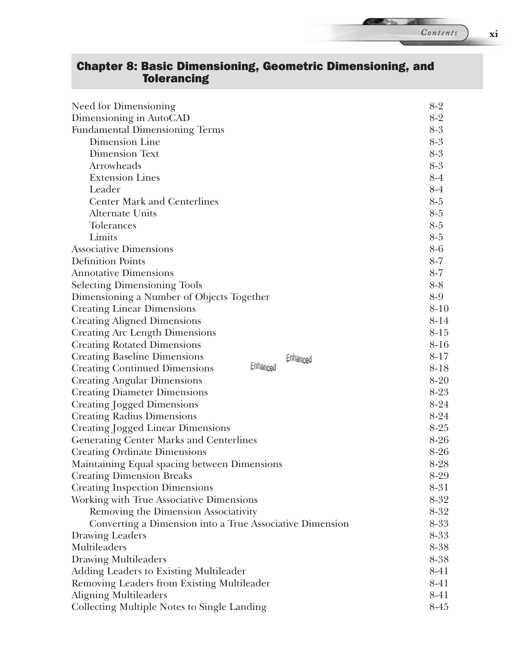## Chapter 8: Basic Dimensioning, Geometric Dimensioning, and Tolerancing

| Need for Dimensioning                                    | $8-2$    |
|----------------------------------------------------------|----------|
| Dimensioning in AutoCAD                                  | $8-2$    |
| <b>Fundamental Dimensioning Terms</b>                    | 8-3      |
| Dimension Line                                           | $8-3$    |
| <b>Dimension Text</b>                                    | $8-3$    |
| Arrowheads                                               | 8-3      |
| <b>Extension Lines</b>                                   | $8-4$    |
| Leader                                                   | $8-4$    |
| <b>Center Mark and Centerlines</b>                       | 8-5      |
| Alternate Units                                          | 8-5      |
| <b>Tolerances</b>                                        | $8-5$    |
| Limits                                                   | $8-5$    |
| <b>Associative Dimensions</b>                            | 8-6      |
| <b>Definition Points</b>                                 | $8-7$    |
| <b>Annotative Dimensions</b>                             | $8-7$    |
| <b>Selecting Dimensioning Tools</b>                      | $8 - 8$  |
| Dimensioning a Number of Objects Together                | 8-9      |
| <b>Creating Linear Dimensions</b>                        | $8 - 10$ |
| <b>Creating Aligned Dimensions</b>                       | 8-14     |
| <b>Creating Arc Length Dimensions</b>                    | $8 - 15$ |
| <b>Creating Rotated Dimensions</b>                       | $8 - 16$ |
| <b>Creating Baseline Dimensions</b><br>Enhanced          | $8 - 17$ |
| Enhanced<br><b>Creating Continued Dimensions</b>         | $8 - 18$ |
| <b>Creating Angular Dimensions</b>                       | $8 - 20$ |
| <b>Creating Diameter Dimensions</b>                      | $8-23$   |
| Creating Jogged Dimensions                               | $8 - 24$ |
| <b>Creating Radius Dimensions</b>                        | 8-24     |
| <b>Creating Jogged Linear Dimensions</b>                 | $8 - 25$ |
| <b>Generating Center Marks and Centerlines</b>           | $8-26$   |
| <b>Creating Ordinate Dimensions</b>                      | $8 - 26$ |
| Maintaining Equal spacing between Dimensions             | $8-28$   |
| <b>Creating Dimension Breaks</b>                         | 8-29     |
| <b>Creating Inspection Dimensions</b>                    | 8-31     |
| Working with True Associative Dimensions                 | $8 - 32$ |
| Removing the Dimension Associativity                     | $8 - 32$ |
| Converting a Dimension into a True Associative Dimension | 8-33     |
| Drawing Leaders                                          | 8-33     |
| Multileaders                                             | 8-38     |
| <b>Drawing Multileaders</b>                              | 8-38     |
| Adding Leaders to Existing Multileader                   | 8-41     |
| Removing Leaders from Existing Multileader               | 8-41     |
| <b>Aligning Multileaders</b>                             | 8-41     |
| Collecting Multiple Notes to Single Landing              | 8-45     |

**SEP 31**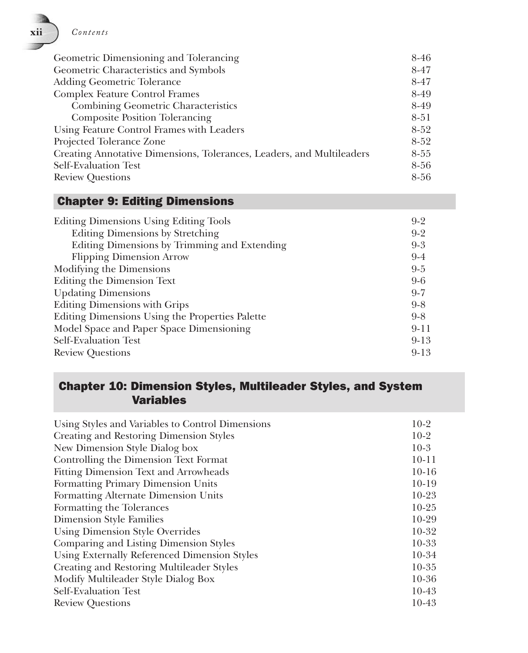**xii** *Contents*

| Geometric Dimensioning and Tolerancing                                | 8-46     |
|-----------------------------------------------------------------------|----------|
| Geometric Characteristics and Symbols                                 | 8-47     |
| Adding Geometric Tolerance                                            | $8 - 47$ |
| <b>Complex Feature Control Frames</b>                                 | 8-49     |
| <b>Combining Geometric Characteristics</b>                            | 8-49     |
| <b>Composite Position Tolerancing</b>                                 | $8 - 51$ |
| Using Feature Control Frames with Leaders                             | $8-52$   |
| Projected Tolerance Zone                                              | $8-52$   |
| Creating Annotative Dimensions, Tolerances, Leaders, and Multileaders | $8 - 55$ |
| <b>Self-Evaluation Test</b>                                           | 8-56     |
| <b>Review Questions</b>                                               | $8 - 56$ |

#### Chapter 9: Editing Dimensions

| <b>Editing Dimensions Using Editing Tools</b>   | $9-2$    |
|-------------------------------------------------|----------|
| <b>Editing Dimensions by Stretching</b>         | $9 - 2$  |
| Editing Dimensions by Trimming and Extending    | $9-3$    |
| <b>Flipping Dimension Arrow</b>                 | $9-4$    |
| Modifying the Dimensions                        | $9 - 5$  |
| <b>Editing the Dimension Text</b>               | $9-6$    |
| <b>Updating Dimensions</b>                      | $9 - 7$  |
| <b>Editing Dimensions with Grips</b>            | $9-8$    |
| Editing Dimensions Using the Properties Palette | $9-8$    |
| Model Space and Paper Space Dimensioning        | $9 - 11$ |
| Self-Evaluation Test                            | $9 - 13$ |
| <b>Review Questions</b>                         | $9 - 13$ |

#### Chapter 10: Dimension Styles, Multileader Styles, and System Variables

| Using Styles and Variables to Control Dimensions | $10-2$    |
|--------------------------------------------------|-----------|
| Creating and Restoring Dimension Styles          | $10-2$    |
| New Dimension Style Dialog box                   | $10-3$    |
| Controlling the Dimension Text Format            | $10 - 11$ |
| Fitting Dimension Text and Arrowheads            | $10-16$   |
| Formatting Primary Dimension Units               | $10-19$   |
| Formatting Alternate Dimension Units             | $10-23$   |
| Formatting the Tolerances                        | $10-25$   |
| Dimension Style Families                         | 10-29     |
| <b>Using Dimension Style Overrides</b>           | $10-32$   |
| Comparing and Listing Dimension Styles           | $10 - 33$ |
| Using Externally Referenced Dimension Styles     | 10-34     |
| Creating and Restoring Multileader Styles        | $10 - 35$ |
| Modify Multileader Style Dialog Box              | $10 - 36$ |
| Self-Evaluation Test                             | $10-43$   |
| <b>Review Questions</b>                          | $10-43$   |
|                                                  |           |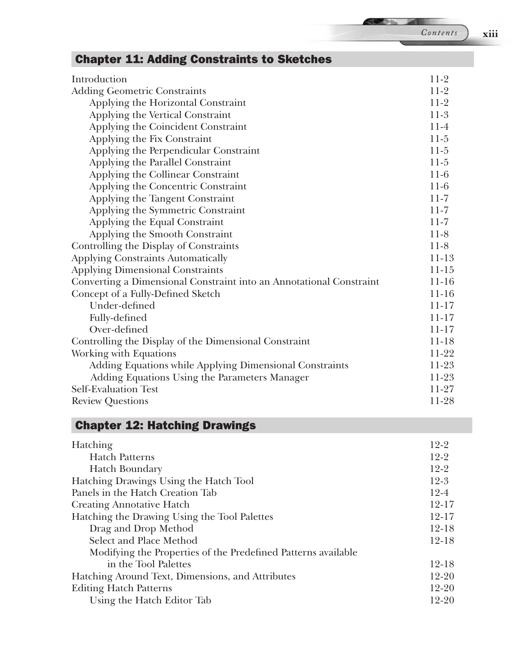#### Chapter 11: Adding Constraints to Sketches Introduction 2002 11-2 Adding Geometric Constraints 11-2 Applying the Horizontal Constraint 11-2 Applying the Vertical Constraint 11-3 Applying the Coincident Constraint 11-4 Applying the Fix Constraint 11-5 Applying the Perpendicular Constraint 11-5 Applying the Parallel Constraint 11-5 Applying the Collinear Constraint 11-6 Applying the Concentric Constraint 11-6 Applying the Tangent Constraint 11-7 Applying the Symmetric Constraint 11-7 Applying the Equal Constraint 11-7 Applying the Smooth Constraint 11-8 Controlling the Display of Constraints 11-8 Applying Constraints Automatically 11-13 Applying Dimensional Constraints 11-15 Converting a Dimensional Constraint into an Annotational Constraint 11-16 Concept of a Fully-Defined Sketch 11-16 Under-defined 11-17 Fully-defined 11-17 Over-defined 11-17 Controlling the Display of the Dimensional Constraint 11-18 Working with Equations 11-22 Adding Equations while Applying Dimensional Constraints 11-23 Adding Equations Using the Parameters Manager 11-23 Self-Evaluation Test 11-27 Review Questions 11-28

#### Chapter 12: Hatching Drawings

| Hatching                                                      | $12 - 2$  |
|---------------------------------------------------------------|-----------|
| <b>Hatch Patterns</b>                                         | $12-2$    |
| Hatch Boundary                                                | $12-2$    |
| Hatching Drawings Using the Hatch Tool                        | $12-3$    |
| Panels in the Hatch Creation Tab                              | $12 - 4$  |
| <b>Creating Annotative Hatch</b>                              | $12 - 17$ |
| Hatching the Drawing Using the Tool Palettes                  | $12 - 17$ |
| Drag and Drop Method                                          | $12 - 18$ |
| Select and Place Method                                       | $12 - 18$ |
| Modifying the Properties of the Predefined Patterns available |           |
| in the Tool Palettes                                          | 12-18     |
| Hatching Around Text, Dimensions, and Attributes              | $12 - 20$ |
| <b>Editing Hatch Patterns</b>                                 | $12 - 20$ |
| Using the Hatch Editor Tab                                    | 12-20     |

*Contents* **xiii**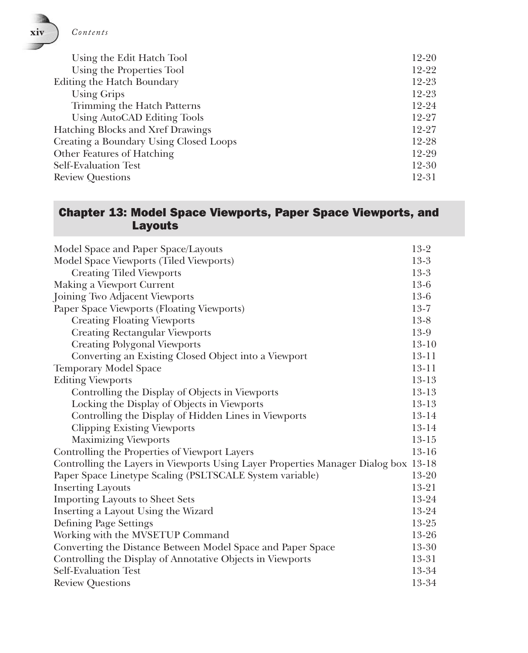

| Using the Edit Hatch Tool              | 12-20     |
|----------------------------------------|-----------|
| Using the Properties Tool              | 12-22     |
| Editing the Hatch Boundary             | 12-23     |
| Using Grips                            | $12 - 23$ |
| Trimming the Hatch Patterns            | 12-24     |
| Using AutoCAD Editing Tools            | 12-27     |
| Hatching Blocks and Xref Drawings      | 12-27     |
| Creating a Boundary Using Closed Loops | 12-28     |
| Other Features of Hatching             | 12-29     |
| Self-Evaluation Test                   | 12-30     |
| <b>Review Questions</b>                | 12-31     |

#### Chapter 13: Model Space Viewports, Paper Space Viewports, and **Layouts**

| Model Space and Paper Space/Layouts                                                 | $13-2$    |
|-------------------------------------------------------------------------------------|-----------|
| Model Space Viewports (Tiled Viewports)                                             | $13-3$    |
| <b>Creating Tiled Viewports</b>                                                     | $13-3$    |
| Making a Viewport Current                                                           | 13-6      |
| Joining Two Adjacent Viewports                                                      | $13-6$    |
| Paper Space Viewports (Floating Viewports)                                          | $13 - 7$  |
| <b>Creating Floating Viewports</b>                                                  | $13-8$    |
| <b>Creating Rectangular Viewports</b>                                               | 13-9      |
| <b>Creating Polygonal Viewports</b>                                                 | $13-10$   |
| Converting an Existing Closed Object into a Viewport                                | $13 - 11$ |
| Temporary Model Space                                                               | $13 - 11$ |
| <b>Editing Viewports</b>                                                            | $13 - 13$ |
| Controlling the Display of Objects in Viewports                                     | 13-13     |
| Locking the Display of Objects in Viewports                                         | $13 - 13$ |
| Controlling the Display of Hidden Lines in Viewports                                | 13-14     |
| <b>Clipping Existing Viewports</b>                                                  | 13-14     |
| <b>Maximizing Viewports</b>                                                         | $13 - 15$ |
| Controlling the Properties of Viewport Layers                                       | $13 - 16$ |
| Controlling the Layers in Viewports Using Layer Properties Manager Dialog box 13-18 |           |
| Paper Space Linetype Scaling (PSLTSCALE System variable)                            | 13-20     |
| <b>Inserting Layouts</b>                                                            | 13-21     |
| <b>Importing Layouts to Sheet Sets</b>                                              | 13-24     |
| Inserting a Layout Using the Wizard                                                 | 13-24     |
| Defining Page Settings                                                              | 13-25     |
| Working with the MVSETUP Command                                                    | 13-26     |
| Converting the Distance Between Model Space and Paper Space                         | 13-30     |
| Controlling the Display of Annotative Objects in Viewports                          | 13-31     |
| <b>Self-Evaluation Test</b>                                                         | 13-34     |
| <b>Review Questions</b>                                                             | 13-34     |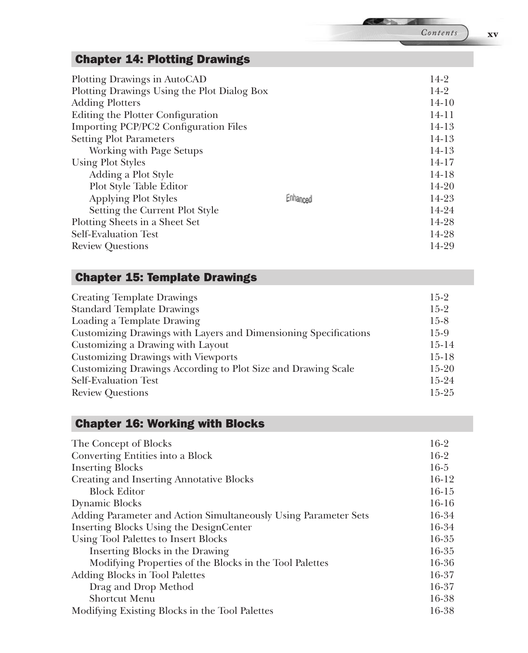#### Chapter 14: Plotting Drawings

| Plotting Drawings in AutoCAD                |          | 14-2      |
|---------------------------------------------|----------|-----------|
| Plotting Drawings Using the Plot Dialog Box |          | $14-2$    |
| <b>Adding Plotters</b>                      |          | $14 - 10$ |
| Editing the Plotter Configuration           |          | $14 - 11$ |
| Importing PCP/PC2 Configuration Files       |          | $14-13$   |
| <b>Setting Plot Parameters</b>              |          | $14-13$   |
| Working with Page Setups                    |          | $14-13$   |
| <b>Using Plot Styles</b>                    |          | $14 - 17$ |
| Adding a Plot Style                         |          | $14-18$   |
| Plot Style Table Editor                     |          | 14-20     |
| <b>Applying Plot Styles</b>                 | Enhanced | 14-23     |
| Setting the Current Plot Style              |          | 14-24     |
| Plotting Sheets in a Sheet Set              |          | 14-28     |
| Self-Evaluation Test                        |          | 14-28     |
| <b>Review Questions</b>                     |          | 14-29     |

#### Chapter 15: Template Drawings

| <b>Creating Template Drawings</b>                                | $15-2$    |
|------------------------------------------------------------------|-----------|
| <b>Standard Template Drawings</b>                                | $15-2$    |
| Loading a Template Drawing                                       | $15-8$    |
| Customizing Drawings with Layers and Dimensioning Specifications | 15-9      |
| Customizing a Drawing with Layout                                | $15-14$   |
| <b>Customizing Drawings with Viewports</b>                       | $15-18$   |
| Customizing Drawings According to Plot Size and Drawing Scale    | $15-20$   |
| Self-Evaluation Test                                             | $15-24$   |
| <b>Review Questions</b>                                          | $15 - 25$ |
|                                                                  |           |

#### Chapter 16: Working with Blocks

| The Concept of Blocks                                           | $16-2$  |
|-----------------------------------------------------------------|---------|
| Converting Entities into a Block                                | $16-2$  |
| <b>Inserting Blocks</b>                                         | $16-5$  |
| <b>Creating and Inserting Annotative Blocks</b>                 | $16-12$ |
| <b>Block Editor</b>                                             | $16-15$ |
| Dynamic Blocks                                                  | $16-16$ |
| Adding Parameter and Action Simultaneously Using Parameter Sets | 16-34   |
| Inserting Blocks Using the DesignCenter                         | 16-34   |
| Using Tool Palettes to Insert Blocks                            | 16-35   |
| Inserting Blocks in the Drawing                                 | 16-35   |
| Modifying Properties of the Blocks in the Tool Palettes         | 16-36   |
| Adding Blocks in Tool Palettes                                  | 16-37   |
| Drag and Drop Method                                            | 16-37   |
| Shortcut Menu                                                   | 16-38   |
| Modifying Existing Blocks in the Tool Palettes                  | 16-38   |

*Contents* **xv**

**SEP 34**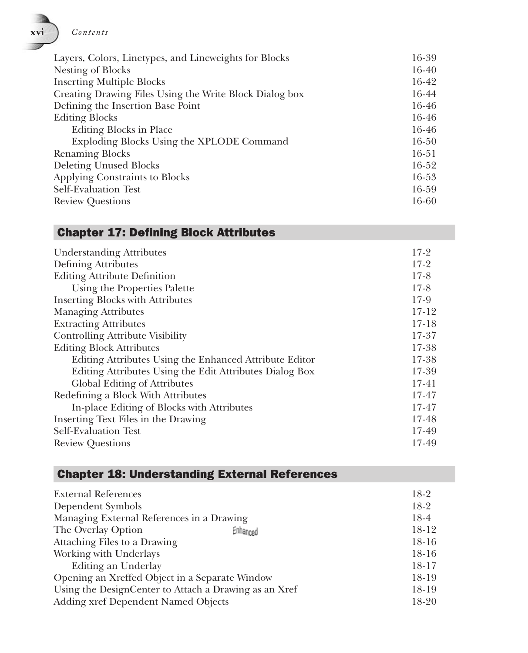**xvi** *Contents*

| Layers, Colors, Linetypes, and Lineweights for Blocks   | 16-39     |
|---------------------------------------------------------|-----------|
| Nesting of Blocks                                       | 16-40     |
| <b>Inserting Multiple Blocks</b>                        | 16-42     |
| Creating Drawing Files Using the Write Block Dialog box | 16-44     |
| Defining the Insertion Base Point                       | 16-46     |
| <b>Editing Blocks</b>                                   | 16-46     |
| Editing Blocks in Place                                 | 16-46     |
| Exploding Blocks Using the XPLODE Command               | $16 - 50$ |
| <b>Renaming Blocks</b>                                  | $16 - 51$ |
| <b>Deleting Unused Blocks</b>                           | 16-52     |
| Applying Constraints to Blocks                          | 16-53     |
| <b>Self-Evaluation Test</b>                             | 16-59     |
| <b>Review Questions</b>                                 | 16-60     |

#### Chapter 17: Defining Block Attributes

| $17-2$<br>Defining Attributes<br>$17-8$<br><b>Editing Attribute Definition</b><br>$17-8$<br>Using the Properties Palette<br><b>Inserting Blocks with Attributes</b><br><b>Managing Attributes</b><br><b>Extracting Attributes</b><br><b>Controlling Attribute Visibility</b><br><b>Editing Block Attributes</b><br>Editing Attributes Using the Enhanced Attribute Editor<br>Editing Attributes Using the Edit Attributes Dialog Box<br>Global Editing of Attributes<br>Redefining a Block With Attributes<br>In-place Editing of Blocks with Attributes<br>Inserting Text Files in the Drawing<br>Self-Evaluation Test | <b>Understanding Attributes</b> | $17-2$    |
|-------------------------------------------------------------------------------------------------------------------------------------------------------------------------------------------------------------------------------------------------------------------------------------------------------------------------------------------------------------------------------------------------------------------------------------------------------------------------------------------------------------------------------------------------------------------------------------------------------------------------|---------------------------------|-----------|
|                                                                                                                                                                                                                                                                                                                                                                                                                                                                                                                                                                                                                         |                                 |           |
|                                                                                                                                                                                                                                                                                                                                                                                                                                                                                                                                                                                                                         |                                 |           |
|                                                                                                                                                                                                                                                                                                                                                                                                                                                                                                                                                                                                                         |                                 |           |
|                                                                                                                                                                                                                                                                                                                                                                                                                                                                                                                                                                                                                         |                                 | 17-9      |
|                                                                                                                                                                                                                                                                                                                                                                                                                                                                                                                                                                                                                         |                                 | $17 - 12$ |
|                                                                                                                                                                                                                                                                                                                                                                                                                                                                                                                                                                                                                         |                                 | $17 - 18$ |
|                                                                                                                                                                                                                                                                                                                                                                                                                                                                                                                                                                                                                         |                                 | 17-37     |
|                                                                                                                                                                                                                                                                                                                                                                                                                                                                                                                                                                                                                         |                                 | 17-38     |
|                                                                                                                                                                                                                                                                                                                                                                                                                                                                                                                                                                                                                         |                                 | 17-38     |
|                                                                                                                                                                                                                                                                                                                                                                                                                                                                                                                                                                                                                         |                                 | 17-39     |
|                                                                                                                                                                                                                                                                                                                                                                                                                                                                                                                                                                                                                         |                                 | $17 - 41$ |
|                                                                                                                                                                                                                                                                                                                                                                                                                                                                                                                                                                                                                         |                                 | 17-47     |
|                                                                                                                                                                                                                                                                                                                                                                                                                                                                                                                                                                                                                         |                                 | 17-47     |
|                                                                                                                                                                                                                                                                                                                                                                                                                                                                                                                                                                                                                         |                                 | 17-48     |
|                                                                                                                                                                                                                                                                                                                                                                                                                                                                                                                                                                                                                         |                                 | 17-49     |
| <b>Review Questions</b>                                                                                                                                                                                                                                                                                                                                                                                                                                                                                                                                                                                                 |                                 | 17-49     |

#### Chapter 18: Understanding External References

| <b>External References</b>                            |          | 18-2    |
|-------------------------------------------------------|----------|---------|
| Dependent Symbols                                     |          | $18-2$  |
| Managing External References in a Drawing             |          | 18-4    |
| The Overlay Option                                    | Enhanced | 18-12   |
| Attaching Files to a Drawing                          |          | 18-16   |
| Working with Underlays                                |          | $18-16$ |
| Editing an Underlay                                   |          | $18-17$ |
| Opening an Xreffed Object in a Separate Window        |          | 18-19   |
| Using the DesignCenter to Attach a Drawing as an Xref |          | 18-19   |
| Adding xref Dependent Named Objects                   |          | 18-20   |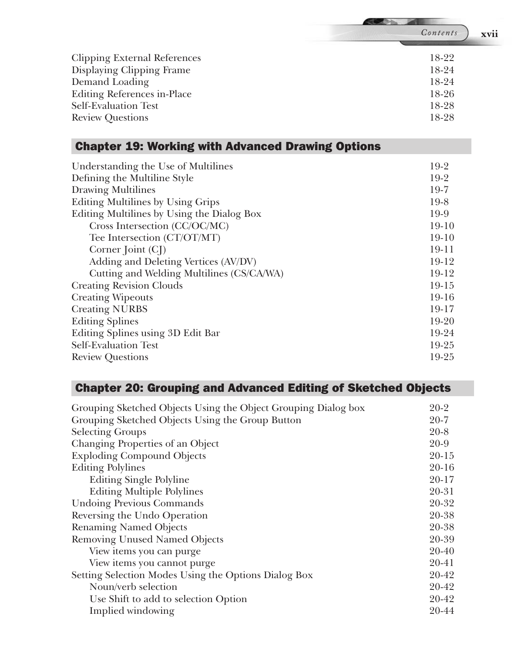| iontents |
|----------|

**RESPONS** 

| Clipping External References | 18-22   |
|------------------------------|---------|
| Displaying Clipping Frame    | 18-24   |
| Demand Loading               | 18-24   |
| Editing References in-Place  | $18-26$ |
| Self-Evaluation Test         | 18-28   |
| <b>Review Questions</b>      | 18-28   |
|                              |         |

#### Chapter 19: Working with Advanced Drawing Options

| Understanding the Use of Multilines        | 19-2      |
|--------------------------------------------|-----------|
| Defining the Multiline Style               | $19-2$    |
| <b>Drawing Multilines</b>                  | $19-7$    |
| Editing Multilines by Using Grips          | $19-8$    |
| Editing Multilines by Using the Dialog Box | 19-9      |
| Cross Intersection (CC/OC/MC)              | $19-10$   |
| Tee Intersection (CT/OT/MT)                | $19-10$   |
| Corner $[oint (C])$                        | $19 - 11$ |
| Adding and Deleting Vertices (AV/DV)       | 19-12     |
| Cutting and Welding Multilines (CS/CA/WA)  | 19-12     |
| <b>Creating Revision Clouds</b>            | $19-15$   |
| <b>Creating Wipeouts</b>                   | $19-16$   |
| <b>Creating NURBS</b>                      | 19-17     |
| <b>Editing Splines</b>                     | 19-20     |
| Editing Splines using 3D Edit Bar          | 19-24     |
| Self-Evaluation Test                       | 19-25     |
| <b>Review Questions</b>                    | 19-25     |
|                                            |           |

#### Chapter 20: Grouping and Advanced Editing of Sketched Objects

| Grouping Sketched Objects Using the Object Grouping Dialog box | $20-2$    |
|----------------------------------------------------------------|-----------|
| Grouping Sketched Objects Using the Group Button               | $20 - 7$  |
| <b>Selecting Groups</b>                                        | $20 - 8$  |
| Changing Properties of an Object                               | $20 - 9$  |
| <b>Exploding Compound Objects</b>                              | $20 - 15$ |
| <b>Editing Polylines</b>                                       | $20 - 16$ |
| <b>Editing Single Polyline</b>                                 | $20 - 17$ |
| <b>Editing Multiple Polylines</b>                              | 20-31     |
| <b>Undoing Previous Commands</b>                               | 20-32     |
| Reversing the Undo Operation                                   | 20-38     |
| <b>Renaming Named Objects</b>                                  | 20-38     |
| <b>Removing Unused Named Objects</b>                           | 20-39     |
| View items you can purge                                       | 20-40     |
| View items you cannot purge                                    | 20-41     |
| Setting Selection Modes Using the Options Dialog Box           | 20-42     |
| Noun/verb selection                                            | 20-42     |
| Use Shift to add to selection Option                           | 20-42     |
| Implied windowing                                              | 20-44     |

*Contents* **xvii**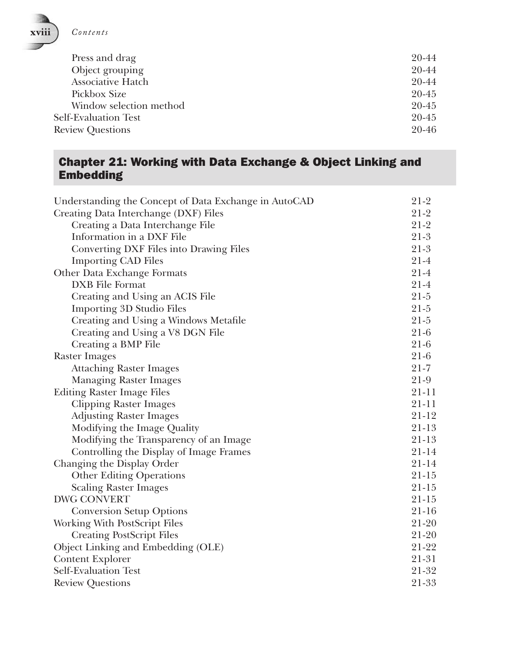

| Press and drag          | 20-44     |
|-------------------------|-----------|
| Object grouping         | 20-44     |
| Associative Hatch       | 20-44     |
| Pickbox Size            | $20 - 45$ |
| Window selection method | $20 - 45$ |
| Self-Evaluation Test    | $20 - 45$ |
| <b>Review Questions</b> | $20 - 46$ |
|                         |           |

#### Chapter 21: Working with Data Exchange & Object Linking and Embedding

| Understanding the Concept of Data Exchange in AutoCAD | $21-2$    |
|-------------------------------------------------------|-----------|
| Creating Data Interchange (DXF) Files                 | $21-2$    |
| Creating a Data Interchange File                      | $21-2$    |
| Information in a DXF File                             | $21-3$    |
| Converting DXF Files into Drawing Files               | $21-3$    |
| <b>Importing CAD Files</b>                            | $21-4$    |
| Other Data Exchange Formats                           | $21-4$    |
| DXB File Format                                       | $21-4$    |
| Creating and Using an ACIS File                       | $21 - 5$  |
| <b>Importing 3D Studio Files</b>                      | $21 - 5$  |
| Creating and Using a Windows Metafile                 | $21 - 5$  |
| Creating and Using a V8 DGN File                      | $21-6$    |
| Creating a BMP File                                   | $21-6$    |
| <b>Raster Images</b>                                  | $21-6$    |
| <b>Attaching Raster Images</b>                        | $21 - 7$  |
| <b>Managing Raster Images</b>                         | $21-9$    |
| <b>Editing Raster Image Files</b>                     | 21-11     |
| <b>Clipping Raster Images</b>                         | $21 - 11$ |
| <b>Adjusting Raster Images</b>                        | 21-12     |
| Modifying the Image Quality                           | 21-13     |
| Modifying the Transparency of an Image                | $21 - 13$ |
| Controlling the Display of Image Frames               | $21 - 14$ |
| Changing the Display Order                            | $21 - 14$ |
| <b>Other Editing Operations</b>                       | $21 - 15$ |
| <b>Scaling Raster Images</b>                          | $21-15$   |
| <b>DWG CONVERT</b>                                    | $21 - 15$ |
| <b>Conversion Setup Options</b>                       | $21 - 16$ |
| Working With PostScript Files                         | $21 - 20$ |
| <b>Creating PostScript Files</b>                      | 21-20     |
| Object Linking and Embedding (OLE)                    | 21-22     |
| <b>Content Explorer</b>                               | 21-31     |
| Self-Evaluation Test                                  | 21-32     |
| <b>Review Questions</b>                               | 21-33     |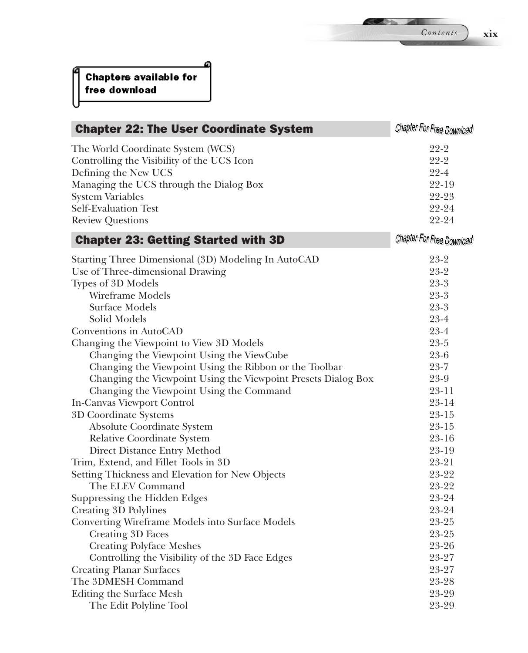| <b>Chapter 22: The User Coordinate System</b>                 | Chapter For Free Download |
|---------------------------------------------------------------|---------------------------|
| The World Coordinate System (WCS)                             | $22 - 2$                  |
| Controlling the Visibility of the UCS Icon                    | $22 - 2$                  |
| Defining the New UCS                                          | $22 - 4$                  |
| Managing the UCS through the Dialog Box                       | $22 - 19$                 |
| <b>System Variables</b>                                       | 22-23                     |
| <b>Self-Evaluation Test</b>                                   | 22-24                     |
| <b>Review Questions</b>                                       | 22-24                     |
| <b>Chapter 23: Getting Started with 3D</b>                    | Chapter For Free Download |
| Starting Three Dimensional (3D) Modeling In AutoCAD           | $23-2$                    |
| Use of Three-dimensional Drawing                              | $23 - 2$                  |
| Types of 3D Models                                            | $23 - 3$                  |
| Wireframe Models                                              | $23 - 3$                  |
| Surface Models                                                | $23 - 3$                  |
| Solid Models                                                  | $23 - 4$                  |
| Conventions in AutoCAD                                        | $23 - 4$                  |
| Changing the Viewpoint to View 3D Models                      | $23 - 5$                  |
| Changing the Viewpoint Using the ViewCube                     | $23 - 6$                  |
| Changing the Viewpoint Using the Ribbon or the Toolbar        | $23 - 7$                  |
| Changing the Viewpoint Using the Viewpoint Presets Dialog Box | 23-9                      |
| Changing the Viewpoint Using the Command                      | $23 - 11$                 |
| In-Canvas Viewport Control                                    | 23-14                     |
| 3D Coordinate Systems                                         | $23 - 15$                 |
| Absolute Coordinate System                                    | $23 - 15$                 |
| <b>Relative Coordinate System</b>                             | $23 - 16$                 |
| Direct Distance Entry Method                                  | 23-19                     |
| Trim, Extend, and Fillet Tools in 3D                          | $23 - 21$                 |
| Setting Thickness and Elevation for New Objects               | 23-22                     |
| The ELEV Command                                              | 23-22                     |
| Suppressing the Hidden Edges                                  | 23-24                     |
| Creating 3D Polylines                                         | 23-24                     |
| Converting Wireframe Models into Surface Models               | 23-25                     |
| Creating 3D Faces                                             | 23-25                     |
| <b>Creating Polyface Meshes</b>                               | 23-26                     |
| Controlling the Visibility of the 3D Face Edges               | 23-27                     |
| <b>Creating Planar Surfaces</b>                               | 23-27                     |
| The 3DMESH Command                                            | 23-28                     |
| Editing the Surface Mesh                                      | 23-29                     |
| The Edit Polyline Tool                                        | 23-29                     |

*Contents* **xix**

**REPAIR**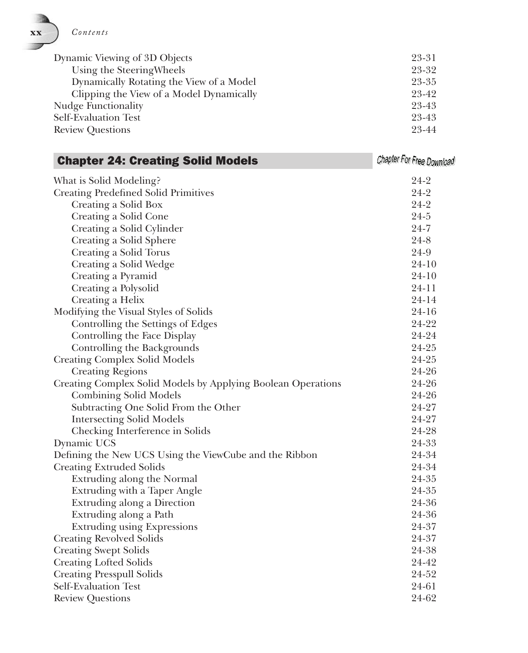| Dynamic Viewing of 3D Objects            | 23-31 |
|------------------------------------------|-------|
| Using the Steering Wheels                | 23-32 |
| Dynamically Rotating the View of a Model | 23-35 |
| Clipping the View of a Model Dynamically | 23-42 |
| Nudge Functionality                      | 23-43 |
| Self-Evaluation Test                     | 23-43 |
| <b>Review Questions</b>                  | 23-44 |

| <b>Chapter 24: Creating Solid Models</b>                     | Chapter For Free Download |
|--------------------------------------------------------------|---------------------------|
| What is Solid Modeling?                                      | $24-2$                    |
| <b>Creating Predefined Solid Primitives</b>                  | $24 - 2$                  |
| Creating a Solid Box                                         | $24 - 2$                  |
| Creating a Solid Cone                                        | $24 - 5$                  |
| Creating a Solid Cylinder                                    | $24 - 7$                  |
| Creating a Solid Sphere                                      | $24 - 8$                  |
| Creating a Solid Torus                                       | 24-9                      |
| Creating a Solid Wedge                                       | $24 - 10$                 |
| Creating a Pyramid                                           | $24 - 10$                 |
| Creating a Polysolid                                         | $24 - 11$                 |
| Creating a Helix                                             | 24-14                     |
| Modifying the Visual Styles of Solids                        | 24-16                     |
| Controlling the Settings of Edges                            | 24-22                     |
| Controlling the Face Display                                 | 24-24                     |
| Controlling the Backgrounds                                  | 24-25                     |
| <b>Creating Complex Solid Models</b>                         | 24-25                     |
| <b>Creating Regions</b>                                      | 24-26                     |
| Creating Complex Solid Models by Applying Boolean Operations | 24-26                     |
| <b>Combining Solid Models</b>                                | 24-26                     |
| Subtracting One Solid From the Other                         | 24-27                     |
| <b>Intersecting Solid Models</b>                             | 24-27                     |
| Checking Interference in Solids                              | 24-28                     |
| Dynamic UCS                                                  | 24-33                     |
| Defining the New UCS Using the ViewCube and the Ribbon       | 24-34                     |
| <b>Creating Extruded Solids</b>                              | 24-34                     |
| Extruding along the Normal                                   | 24-35                     |
| Extruding with a Taper Angle                                 | 24-35                     |
| Extruding along a Direction                                  | 24-36                     |
| Extruding along a Path                                       | 24-36                     |
| <b>Extruding using Expressions</b>                           | 24-37                     |
| <b>Creating Revolved Solids</b>                              | 24-37                     |
| <b>Creating Swept Solids</b>                                 | 24-38                     |
| <b>Creating Lofted Solids</b>                                | 24-42                     |
| <b>Creating Presspull Solids</b>                             | 24-52                     |
| Self-Evaluation Test                                         | 24-61                     |
| <b>Review Questions</b>                                      | 24-62                     |

 **xx** *Contents*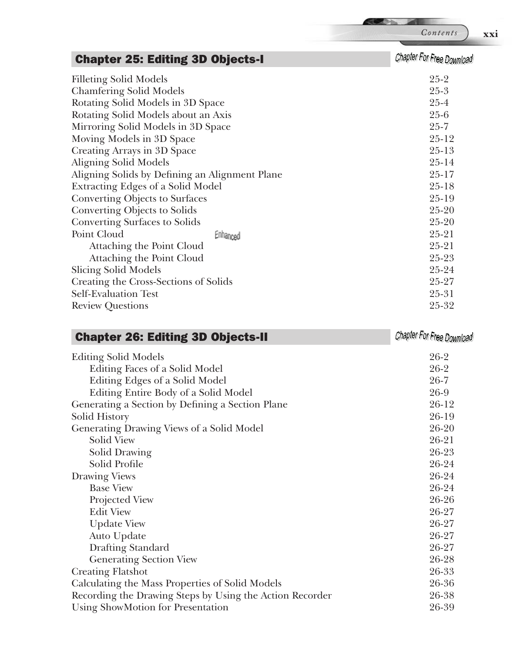Chapter For Free Download

**SEP 35** 

| <b>Chapter 25: Editing 3D Objects-I</b>        |          | Chapter For Free Download |  |
|------------------------------------------------|----------|---------------------------|--|
| <b>Filleting Solid Models</b>                  |          | $25-2$                    |  |
| <b>Chamfering Solid Models</b>                 |          | $25 - 3$                  |  |
| Rotating Solid Models in 3D Space              |          | $25 - 4$                  |  |
| Rotating Solid Models about an Axis            |          | $25 - 6$                  |  |
| Mirroring Solid Models in 3D Space             |          | $25 - 7$                  |  |
| Moving Models in 3D Space                      |          | $25 - 12$                 |  |
| Creating Arrays in 3D Space                    |          | $25 - 13$                 |  |
| <b>Aligning Solid Models</b>                   |          | $25 - 14$                 |  |
| Aligning Solids by Defining an Alignment Plane |          | $25 - 17$                 |  |
| <b>Extracting Edges of a Solid Model</b>       |          | $25 - 18$                 |  |
| Converting Objects to Surfaces                 |          | $25-19$                   |  |
| Converting Objects to Solids                   |          | $25 - 20$                 |  |
| <b>Converting Surfaces to Solids</b>           |          | $25 - 20$                 |  |
| Point Cloud                                    | Enhanced | $25 - 21$                 |  |
| Attaching the Point Cloud                      |          | $25 - 21$                 |  |
| Attaching the Point Cloud                      |          | $25 - 23$                 |  |
| <b>Slicing Solid Models</b>                    |          | 25-24                     |  |
| Creating the Cross-Sections of Solids          |          | 25-27                     |  |
| Self-Evaluation Test                           |          | $25 - 31$                 |  |
| <b>Review Questions</b>                        |          | $25 - 32$                 |  |

#### Chapter 26: Editing 3D Objects-II

| <b>Editing Solid Models</b>                              | $26-2$    |
|----------------------------------------------------------|-----------|
| Editing Faces of a Solid Model                           | $26-2$    |
| Editing Edges of a Solid Model                           | $26 - 7$  |
| Editing Entire Body of a Solid Model                     | 26-9      |
| Generating a Section by Defining a Section Plane         | $26-12$   |
| Solid History                                            | 26-19     |
| Generating Drawing Views of a Solid Model                | $26 - 20$ |
| Solid View                                               | $26 - 21$ |
| Solid Drawing                                            | 26-23     |
| Solid Profile                                            | 26-24     |
| Drawing Views                                            | 26-24     |
| <b>Base View</b>                                         | 26-24     |
| Projected View                                           | 26-26     |
| <b>Edit View</b>                                         | 26-27     |
| <b>Update View</b>                                       | 26-27     |
| Auto Update                                              | 26-27     |
| Drafting Standard                                        | 26-27     |
| <b>Generating Section View</b>                           | 26-28     |
| <b>Creating Flatshot</b>                                 | 26-33     |
| Calculating the Mass Properties of Solid Models          | 26-36     |
| Recording the Drawing Steps by Using the Action Recorder | 26-38     |
| Using ShowMotion for Presentation                        | 26-39     |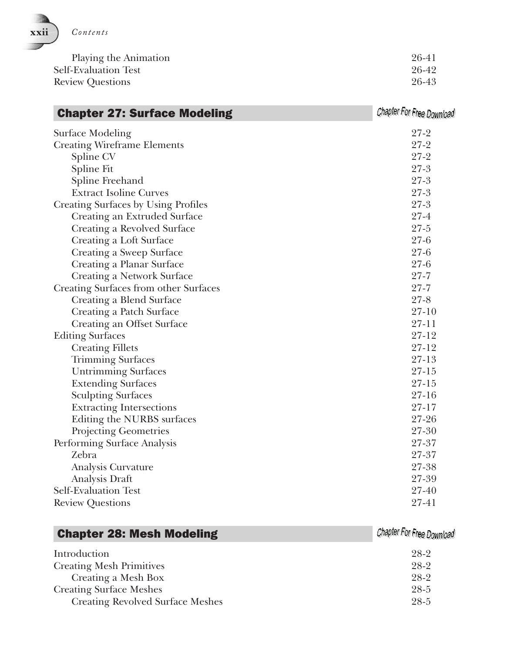

| Playing the Animation       | 26-41 |
|-----------------------------|-------|
| <b>Self-Evaluation Test</b> | 26-42 |
| <b>Review Questions</b>     | 26-43 |

| <b>Chapter 27: Surface Modeling</b>   | Chapter For Free Download |
|---------------------------------------|---------------------------|
| <b>Surface Modeling</b>               | $27-2$                    |
| <b>Creating Wireframe Elements</b>    | $27 - 2$                  |
| Spline CV                             | $27 - 2$                  |
| Spline Fit                            | $27 - 3$                  |
| Spline Freehand                       | $27 - 3$                  |
| <b>Extract Isoline Curves</b>         | $27 - 3$                  |
| Creating Surfaces by Using Profiles   | $27 - 3$                  |
| Creating an Extruded Surface          | $27 - 4$                  |
| Creating a Revolved Surface           | $27 - 5$                  |
| Creating a Loft Surface               | $27 - 6$                  |
| Creating a Sweep Surface              | $27 - 6$                  |
| Creating a Planar Surface             | $27 - 6$                  |
| <b>Creating a Network Surface</b>     | $27 - 7$                  |
| Creating Surfaces from other Surfaces | $27 - 7$                  |
| Creating a Blend Surface              | $27 - 8$                  |
| Creating a Patch Surface              | $27-10$                   |
| Creating an Offset Surface            | $27 - 11$                 |
| <b>Editing Surfaces</b>               | $27 - 12$                 |
| <b>Creating Fillets</b>               | $27 - 12$                 |
| <b>Trimming Surfaces</b>              | $27-13$                   |
| <b>Untrimming Surfaces</b>            | $27 - 15$                 |
| <b>Extending Surfaces</b>             | $27 - 15$                 |
| <b>Sculpting Surfaces</b>             | $27 - 16$                 |
| <b>Extracting Intersections</b>       | $27 - 17$                 |
| Editing the NURBS surfaces            | 27-26                     |
| <b>Projecting Geometries</b>          | 27-30                     |
| Performing Surface Analysis           | 27-37                     |
| Zebra                                 | 27-37                     |
| Analysis Curvature                    | 27-38                     |
| Analysis Draft                        | 27-39                     |
| Self-Evaluation Test                  | 27-40                     |
| <b>Review Questions</b>               | 27-41                     |

| Introduction                            | 28-2 |
|-----------------------------------------|------|
| <b>Creating Mesh Primitives</b>         | 28-2 |
| Creating a Mesh Box                     | 28-2 |
| <b>Creating Surface Meshes</b>          | 28-5 |
| <b>Creating Revolved Surface Meshes</b> | 28-5 |

Chapter 28: Mesh Modeling

Chapter For Free Download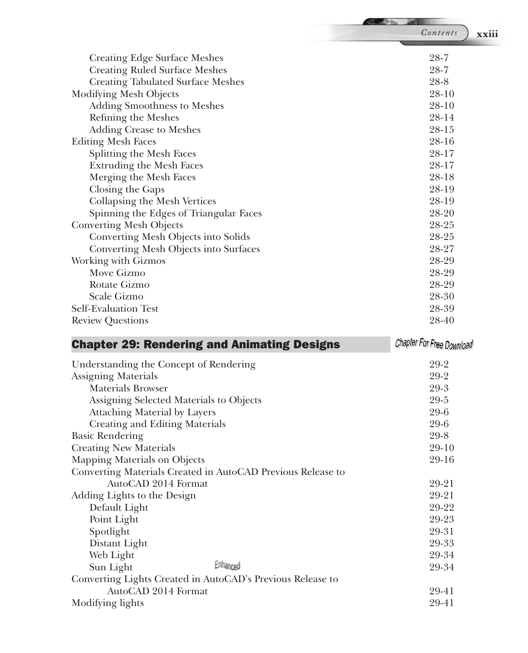| Contents<br>xxiii<br>$28 - 7$<br><b>Creating Edge Surface Meshes</b><br>$28 - 7$<br><b>Creating Ruled Surface Meshes</b><br>$28 - 8$<br><b>Creating Tabulated Surface Meshes</b><br>$28 - 10$<br>Modifying Mesh Objects<br>$28 - 10$<br><b>Adding Smoothness to Meshes</b><br>28-14<br>Refining the Meshes<br>28-15<br><b>Adding Crease to Meshes</b><br><b>Editing Mesh Faces</b><br>28-16<br>Splitting the Mesh Faces<br>28-17<br><b>Extruding the Mesh Faces</b><br>28-17<br>Merging the Mesh Faces<br>28-18<br>Closing the Gaps<br>28-19<br>28-19<br>Collapsing the Mesh Vertices<br>28-20<br>Spinning the Edges of Triangular Faces<br>28-25<br><b>Converting Mesh Objects</b><br>28-25<br>Converting Mesh Objects into Solids<br>28-27<br>Converting Mesh Objects into Surfaces<br>28-29<br>Working with Gizmos<br>Move Gizmo<br>28-29<br>28-29<br>Rotate Gizmo<br>Scale Gizmo<br>28-30<br>28-39<br><b>Self-Evaluation Test</b><br>28-40<br><b>Review Questions</b><br>Chapter For Free Download<br><b>Chapter 29: Rendering and Animating Designs</b><br>$29-2$<br>Understanding the Concept of Rendering<br>29-2<br><b>Assigning Materials</b><br>29-3<br><b>Materials Browser</b><br>29-5<br>Assigning Selected Materials to Objects<br>$29 - 6$<br><b>Attaching Material by Layers</b><br>Creating and Editing Materials<br>$29 - 6$<br><b>Basic Rendering</b><br>$29 - 8$<br><b>Creating New Materials</b><br>$29-10$<br>29-16<br>Mapping Materials on Objects<br>Converting Materials Created in AutoCAD Previous Release to<br>AutoCAD 2014 Format<br>29-21<br>29-21<br>Adding Lights to the Design<br>29-22<br>Default Light<br>Point Light<br>29-23<br>29-31<br>Spotlight<br>29-33<br>Distant Light<br>29-34<br>Web Light |  |
|------------------------------------------------------------------------------------------------------------------------------------------------------------------------------------------------------------------------------------------------------------------------------------------------------------------------------------------------------------------------------------------------------------------------------------------------------------------------------------------------------------------------------------------------------------------------------------------------------------------------------------------------------------------------------------------------------------------------------------------------------------------------------------------------------------------------------------------------------------------------------------------------------------------------------------------------------------------------------------------------------------------------------------------------------------------------------------------------------------------------------------------------------------------------------------------------------------------------------------------------------------------------------------------------------------------------------------------------------------------------------------------------------------------------------------------------------------------------------------------------------------------------------------------------------------------------------------------------------------------------------------------------------------------------------------------------------------------------------------------|--|
|                                                                                                                                                                                                                                                                                                                                                                                                                                                                                                                                                                                                                                                                                                                                                                                                                                                                                                                                                                                                                                                                                                                                                                                                                                                                                                                                                                                                                                                                                                                                                                                                                                                                                                                                          |  |
|                                                                                                                                                                                                                                                                                                                                                                                                                                                                                                                                                                                                                                                                                                                                                                                                                                                                                                                                                                                                                                                                                                                                                                                                                                                                                                                                                                                                                                                                                                                                                                                                                                                                                                                                          |  |
|                                                                                                                                                                                                                                                                                                                                                                                                                                                                                                                                                                                                                                                                                                                                                                                                                                                                                                                                                                                                                                                                                                                                                                                                                                                                                                                                                                                                                                                                                                                                                                                                                                                                                                                                          |  |
|                                                                                                                                                                                                                                                                                                                                                                                                                                                                                                                                                                                                                                                                                                                                                                                                                                                                                                                                                                                                                                                                                                                                                                                                                                                                                                                                                                                                                                                                                                                                                                                                                                                                                                                                          |  |
|                                                                                                                                                                                                                                                                                                                                                                                                                                                                                                                                                                                                                                                                                                                                                                                                                                                                                                                                                                                                                                                                                                                                                                                                                                                                                                                                                                                                                                                                                                                                                                                                                                                                                                                                          |  |
|                                                                                                                                                                                                                                                                                                                                                                                                                                                                                                                                                                                                                                                                                                                                                                                                                                                                                                                                                                                                                                                                                                                                                                                                                                                                                                                                                                                                                                                                                                                                                                                                                                                                                                                                          |  |
|                                                                                                                                                                                                                                                                                                                                                                                                                                                                                                                                                                                                                                                                                                                                                                                                                                                                                                                                                                                                                                                                                                                                                                                                                                                                                                                                                                                                                                                                                                                                                                                                                                                                                                                                          |  |
|                                                                                                                                                                                                                                                                                                                                                                                                                                                                                                                                                                                                                                                                                                                                                                                                                                                                                                                                                                                                                                                                                                                                                                                                                                                                                                                                                                                                                                                                                                                                                                                                                                                                                                                                          |  |
|                                                                                                                                                                                                                                                                                                                                                                                                                                                                                                                                                                                                                                                                                                                                                                                                                                                                                                                                                                                                                                                                                                                                                                                                                                                                                                                                                                                                                                                                                                                                                                                                                                                                                                                                          |  |
|                                                                                                                                                                                                                                                                                                                                                                                                                                                                                                                                                                                                                                                                                                                                                                                                                                                                                                                                                                                                                                                                                                                                                                                                                                                                                                                                                                                                                                                                                                                                                                                                                                                                                                                                          |  |
|                                                                                                                                                                                                                                                                                                                                                                                                                                                                                                                                                                                                                                                                                                                                                                                                                                                                                                                                                                                                                                                                                                                                                                                                                                                                                                                                                                                                                                                                                                                                                                                                                                                                                                                                          |  |
|                                                                                                                                                                                                                                                                                                                                                                                                                                                                                                                                                                                                                                                                                                                                                                                                                                                                                                                                                                                                                                                                                                                                                                                                                                                                                                                                                                                                                                                                                                                                                                                                                                                                                                                                          |  |
|                                                                                                                                                                                                                                                                                                                                                                                                                                                                                                                                                                                                                                                                                                                                                                                                                                                                                                                                                                                                                                                                                                                                                                                                                                                                                                                                                                                                                                                                                                                                                                                                                                                                                                                                          |  |
|                                                                                                                                                                                                                                                                                                                                                                                                                                                                                                                                                                                                                                                                                                                                                                                                                                                                                                                                                                                                                                                                                                                                                                                                                                                                                                                                                                                                                                                                                                                                                                                                                                                                                                                                          |  |
|                                                                                                                                                                                                                                                                                                                                                                                                                                                                                                                                                                                                                                                                                                                                                                                                                                                                                                                                                                                                                                                                                                                                                                                                                                                                                                                                                                                                                                                                                                                                                                                                                                                                                                                                          |  |
|                                                                                                                                                                                                                                                                                                                                                                                                                                                                                                                                                                                                                                                                                                                                                                                                                                                                                                                                                                                                                                                                                                                                                                                                                                                                                                                                                                                                                                                                                                                                                                                                                                                                                                                                          |  |
|                                                                                                                                                                                                                                                                                                                                                                                                                                                                                                                                                                                                                                                                                                                                                                                                                                                                                                                                                                                                                                                                                                                                                                                                                                                                                                                                                                                                                                                                                                                                                                                                                                                                                                                                          |  |
|                                                                                                                                                                                                                                                                                                                                                                                                                                                                                                                                                                                                                                                                                                                                                                                                                                                                                                                                                                                                                                                                                                                                                                                                                                                                                                                                                                                                                                                                                                                                                                                                                                                                                                                                          |  |
|                                                                                                                                                                                                                                                                                                                                                                                                                                                                                                                                                                                                                                                                                                                                                                                                                                                                                                                                                                                                                                                                                                                                                                                                                                                                                                                                                                                                                                                                                                                                                                                                                                                                                                                                          |  |
|                                                                                                                                                                                                                                                                                                                                                                                                                                                                                                                                                                                                                                                                                                                                                                                                                                                                                                                                                                                                                                                                                                                                                                                                                                                                                                                                                                                                                                                                                                                                                                                                                                                                                                                                          |  |
|                                                                                                                                                                                                                                                                                                                                                                                                                                                                                                                                                                                                                                                                                                                                                                                                                                                                                                                                                                                                                                                                                                                                                                                                                                                                                                                                                                                                                                                                                                                                                                                                                                                                                                                                          |  |
|                                                                                                                                                                                                                                                                                                                                                                                                                                                                                                                                                                                                                                                                                                                                                                                                                                                                                                                                                                                                                                                                                                                                                                                                                                                                                                                                                                                                                                                                                                                                                                                                                                                                                                                                          |  |
|                                                                                                                                                                                                                                                                                                                                                                                                                                                                                                                                                                                                                                                                                                                                                                                                                                                                                                                                                                                                                                                                                                                                                                                                                                                                                                                                                                                                                                                                                                                                                                                                                                                                                                                                          |  |
|                                                                                                                                                                                                                                                                                                                                                                                                                                                                                                                                                                                                                                                                                                                                                                                                                                                                                                                                                                                                                                                                                                                                                                                                                                                                                                                                                                                                                                                                                                                                                                                                                                                                                                                                          |  |
|                                                                                                                                                                                                                                                                                                                                                                                                                                                                                                                                                                                                                                                                                                                                                                                                                                                                                                                                                                                                                                                                                                                                                                                                                                                                                                                                                                                                                                                                                                                                                                                                                                                                                                                                          |  |
|                                                                                                                                                                                                                                                                                                                                                                                                                                                                                                                                                                                                                                                                                                                                                                                                                                                                                                                                                                                                                                                                                                                                                                                                                                                                                                                                                                                                                                                                                                                                                                                                                                                                                                                                          |  |
|                                                                                                                                                                                                                                                                                                                                                                                                                                                                                                                                                                                                                                                                                                                                                                                                                                                                                                                                                                                                                                                                                                                                                                                                                                                                                                                                                                                                                                                                                                                                                                                                                                                                                                                                          |  |
|                                                                                                                                                                                                                                                                                                                                                                                                                                                                                                                                                                                                                                                                                                                                                                                                                                                                                                                                                                                                                                                                                                                                                                                                                                                                                                                                                                                                                                                                                                                                                                                                                                                                                                                                          |  |
|                                                                                                                                                                                                                                                                                                                                                                                                                                                                                                                                                                                                                                                                                                                                                                                                                                                                                                                                                                                                                                                                                                                                                                                                                                                                                                                                                                                                                                                                                                                                                                                                                                                                                                                                          |  |
|                                                                                                                                                                                                                                                                                                                                                                                                                                                                                                                                                                                                                                                                                                                                                                                                                                                                                                                                                                                                                                                                                                                                                                                                                                                                                                                                                                                                                                                                                                                                                                                                                                                                                                                                          |  |
|                                                                                                                                                                                                                                                                                                                                                                                                                                                                                                                                                                                                                                                                                                                                                                                                                                                                                                                                                                                                                                                                                                                                                                                                                                                                                                                                                                                                                                                                                                                                                                                                                                                                                                                                          |  |
|                                                                                                                                                                                                                                                                                                                                                                                                                                                                                                                                                                                                                                                                                                                                                                                                                                                                                                                                                                                                                                                                                                                                                                                                                                                                                                                                                                                                                                                                                                                                                                                                                                                                                                                                          |  |
|                                                                                                                                                                                                                                                                                                                                                                                                                                                                                                                                                                                                                                                                                                                                                                                                                                                                                                                                                                                                                                                                                                                                                                                                                                                                                                                                                                                                                                                                                                                                                                                                                                                                                                                                          |  |
|                                                                                                                                                                                                                                                                                                                                                                                                                                                                                                                                                                                                                                                                                                                                                                                                                                                                                                                                                                                                                                                                                                                                                                                                                                                                                                                                                                                                                                                                                                                                                                                                                                                                                                                                          |  |
|                                                                                                                                                                                                                                                                                                                                                                                                                                                                                                                                                                                                                                                                                                                                                                                                                                                                                                                                                                                                                                                                                                                                                                                                                                                                                                                                                                                                                                                                                                                                                                                                                                                                                                                                          |  |
|                                                                                                                                                                                                                                                                                                                                                                                                                                                                                                                                                                                                                                                                                                                                                                                                                                                                                                                                                                                                                                                                                                                                                                                                                                                                                                                                                                                                                                                                                                                                                                                                                                                                                                                                          |  |
|                                                                                                                                                                                                                                                                                                                                                                                                                                                                                                                                                                                                                                                                                                                                                                                                                                                                                                                                                                                                                                                                                                                                                                                                                                                                                                                                                                                                                                                                                                                                                                                                                                                                                                                                          |  |
|                                                                                                                                                                                                                                                                                                                                                                                                                                                                                                                                                                                                                                                                                                                                                                                                                                                                                                                                                                                                                                                                                                                                                                                                                                                                                                                                                                                                                                                                                                                                                                                                                                                                                                                                          |  |
|                                                                                                                                                                                                                                                                                                                                                                                                                                                                                                                                                                                                                                                                                                                                                                                                                                                                                                                                                                                                                                                                                                                                                                                                                                                                                                                                                                                                                                                                                                                                                                                                                                                                                                                                          |  |
|                                                                                                                                                                                                                                                                                                                                                                                                                                                                                                                                                                                                                                                                                                                                                                                                                                                                                                                                                                                                                                                                                                                                                                                                                                                                                                                                                                                                                                                                                                                                                                                                                                                                                                                                          |  |
|                                                                                                                                                                                                                                                                                                                                                                                                                                                                                                                                                                                                                                                                                                                                                                                                                                                                                                                                                                                                                                                                                                                                                                                                                                                                                                                                                                                                                                                                                                                                                                                                                                                                                                                                          |  |
|                                                                                                                                                                                                                                                                                                                                                                                                                                                                                                                                                                                                                                                                                                                                                                                                                                                                                                                                                                                                                                                                                                                                                                                                                                                                                                                                                                                                                                                                                                                                                                                                                                                                                                                                          |  |
|                                                                                                                                                                                                                                                                                                                                                                                                                                                                                                                                                                                                                                                                                                                                                                                                                                                                                                                                                                                                                                                                                                                                                                                                                                                                                                                                                                                                                                                                                                                                                                                                                                                                                                                                          |  |
| Enhanced<br>Sun Light<br>29-34                                                                                                                                                                                                                                                                                                                                                                                                                                                                                                                                                                                                                                                                                                                                                                                                                                                                                                                                                                                                                                                                                                                                                                                                                                                                                                                                                                                                                                                                                                                                                                                                                                                                                                           |  |
| Converting Lights Created in AutoCAD's Previous Release to                                                                                                                                                                                                                                                                                                                                                                                                                                                                                                                                                                                                                                                                                                                                                                                                                                                                                                                                                                                                                                                                                                                                                                                                                                                                                                                                                                                                                                                                                                                                                                                                                                                                               |  |

AutoCAD 2014 Format 29-41

Modifying lights 29-41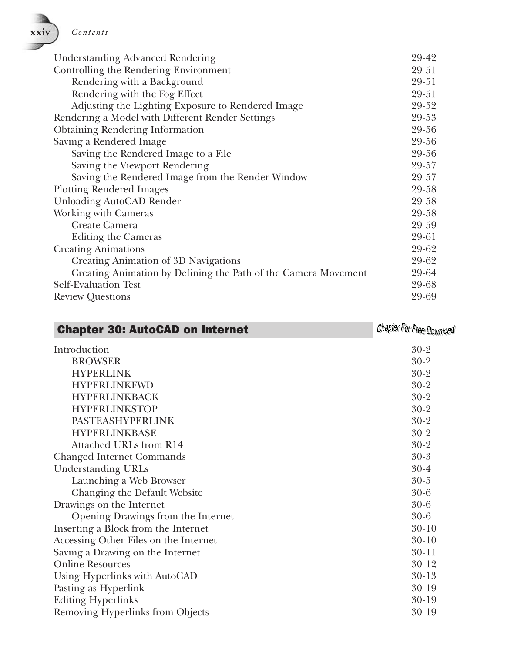**xxiv** *Contents*

| <b>Understanding Advanced Rendering</b>                        | 29-42 |
|----------------------------------------------------------------|-------|
| Controlling the Rendering Environment                          |       |
| Rendering with a Background                                    | 29-51 |
| Rendering with the Fog Effect                                  | 29-51 |
| Adjusting the Lighting Exposure to Rendered Image              | 29-52 |
| Rendering a Model with Different Render Settings               | 29-53 |
| <b>Obtaining Rendering Information</b>                         | 29-56 |
| Saving a Rendered Image                                        | 29-56 |
| Saving the Rendered Image to a File                            | 29-56 |
| Saving the Viewport Rendering                                  | 29-57 |
| Saving the Rendered Image from the Render Window               | 29-57 |
| <b>Plotting Rendered Images</b>                                | 29-58 |
| Unloading AutoCAD Render                                       | 29-58 |
| Working with Cameras                                           | 29-58 |
| Create Camera                                                  | 29-59 |
| Editing the Cameras                                            | 29-61 |
| <b>Creating Animations</b>                                     | 29-62 |
| Creating Animation of 3D Navigations                           | 29-62 |
| Creating Animation by Defining the Path of the Camera Movement | 29-64 |
| Self-Evaluation Test                                           | 29-68 |
| <b>Review Questions</b>                                        | 29-69 |

| <b>Chapter 30: AutoCAD on Internet</b> | Chapter For Free Download |
|----------------------------------------|---------------------------|
| Introduction                           | $30-2$                    |
| <b>BROWSER</b>                         | $30-2$                    |
| <b>HYPERLINK</b>                       | $30-2$                    |
| <b>HYPERLINKFWD</b>                    | $30-2$                    |
| <b>HYPERLINKBACK</b>                   | $30 - 2$                  |
| <b>HYPERLINKSTOP</b>                   | $30 - 2$                  |
| <b>PASTEASHYPERLINK</b>                | $30 - 2$                  |
| <b>HYPERLINKBASE</b>                   | $30-2$                    |
| Attached URLs from R14                 | $30-2$                    |
| <b>Changed Internet Commands</b>       | $30-3$                    |
| <b>Understanding URLs</b>              | $30 - 4$                  |
| Launching a Web Browser                | $30 - 5$                  |
| Changing the Default Website           | $30 - 6$                  |
| Drawings on the Internet               | $30 - 6$                  |
| Opening Drawings from the Internet     | $30 - 6$                  |
| Inserting a Block from the Internet    | $30 - 10$                 |
| Accessing Other Files on the Internet  | $30-10$                   |
| Saving a Drawing on the Internet       | $30 - 11$                 |
| <b>Online Resources</b>                | $30 - 12$                 |
| Using Hyperlinks with AutoCAD          | $30-13$                   |
| Pasting as Hyperlink                   | $30-19$                   |
| <b>Editing Hyperlinks</b>              | $30-19$                   |
| Removing Hyperlinks from Objects       | $30-19$                   |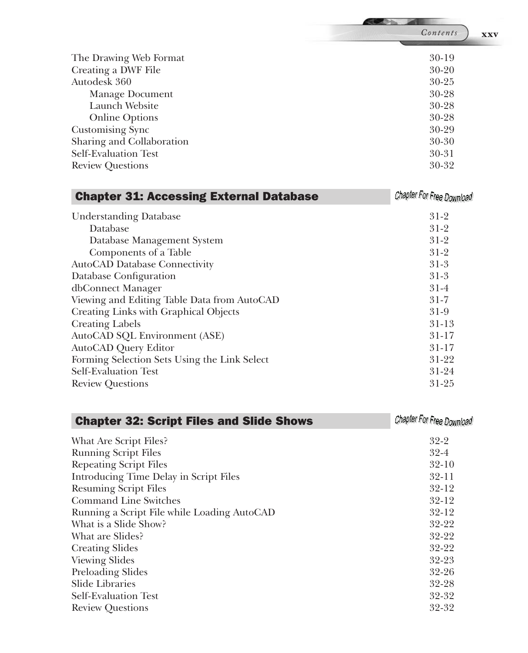|                           | Contents<br><b>XXV</b> |
|---------------------------|------------------------|
|                           |                        |
| The Drawing Web Format    | $30-19$                |
| Creating a DWF File       | $30 - 20$              |
| Autodesk 360              | $30 - 25$              |
| Manage Document           | $30 - 28$              |
| Launch Website            | $30 - 28$              |
| <b>Online Options</b>     | $30 - 28$              |
| Customising Sync          | $30 - 29$              |
| Sharing and Collaboration | 30-30                  |
| Self-Evaluation Test      | $30 - 31$              |
| <b>Review Questions</b>   | 30-32                  |

| <b>Chapter 31: Accessing External Database</b> | Chapter For Free Download |
|------------------------------------------------|---------------------------|
| <b>Understanding Database</b>                  | $31-2$                    |
| Database                                       | $31-2$                    |
| Database Management System                     | $31-2$                    |
| Components of a Table                          | $31-2$                    |
| AutoCAD Database Connectivity                  | $31-3$                    |
| Database Configuration                         | $31-3$                    |
| dbConnect Manager                              | $31-4$                    |
| Viewing and Editing Table Data from AutoCAD    | $31 - 7$                  |
| Creating Links with Graphical Objects          | $31-9$                    |
| <b>Creating Labels</b>                         | $31-13$                   |
| AutoCAD SQL Environment (ASE)                  | $31 - 17$                 |
| AutoCAD Query Editor                           | $31 - 17$                 |
| Forming Selection Sets Using the Link Select   | $31-22$                   |
| <b>Self-Evaluation Test</b>                    | $31 - 24$                 |
| <b>Review Questions</b>                        | $31 - 25$                 |

| <b>Chapter 32: Script Files and Slide Shows</b> | Chapter For Free Download |
|-------------------------------------------------|---------------------------|
| What Are Script Files?                          | $32 - 2$                  |
| <b>Running Script Files</b>                     | $32 - 4$                  |
| <b>Repeating Script Files</b>                   | $32 - 10$                 |
| Introducing Time Delay in Script Files          | $32 - 11$                 |
| <b>Resuming Script Files</b>                    | $32 - 12$                 |
| <b>Command Line Switches</b>                    | $32 - 12$                 |
| Running a Script File while Loading AutoCAD     | $32 - 12$                 |
| What is a Slide Show?                           | $32 - 22$                 |
| What are Slides?                                | $32 - 22$                 |
| <b>Creating Slides</b>                          | $32 - 22$                 |
| <b>Viewing Slides</b>                           | $32 - 23$                 |
| Preloading Slides                               | $32 - 26$                 |
| <b>Slide Libraries</b>                          | $32 - 28$                 |
| <b>Self-Evaluation Test</b>                     | $32 - 32$                 |
| <b>Review Questions</b>                         | $32 - 32$                 |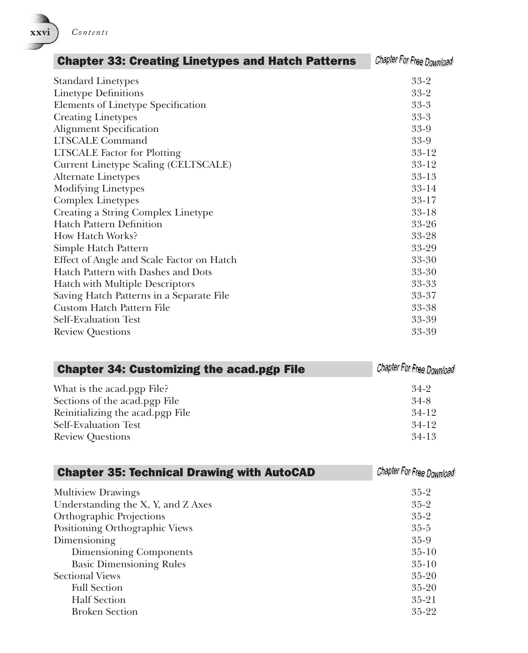

| <b>Chapter 33: Creating Linetypes and Hatch Patterns</b> | Chapter For Free Download |
|----------------------------------------------------------|---------------------------|
| <b>Standard Linetypes</b>                                | $33-2$                    |
| <b>Linetype Definitions</b>                              | $33-2$                    |
| Elements of Linetype Specification                       | $33 - 3$                  |
| <b>Creating Linetypes</b>                                | $33-3$                    |
| <b>Alignment Specification</b>                           | $33-9$                    |
| <b>LTSCALE Command</b>                                   | $33-9$                    |
| <b>LTSCALE</b> Factor for Plotting                       | $33 - 12$                 |
| Current Linetype Scaling (CELTSCALE)                     | $33 - 12$                 |
| <b>Alternate Linetypes</b>                               | $33 - 13$                 |
| <b>Modifying Linetypes</b>                               | $33 - 14$                 |
| <b>Complex Linetypes</b>                                 | 33-17                     |
| Creating a String Complex Linetype                       | $33 - 18$                 |
| <b>Hatch Pattern Definition</b>                          | $33 - 26$                 |
| How Hatch Works?                                         | 33-28                     |
| Simple Hatch Pattern                                     | 33-29                     |
| Effect of Angle and Scale Factor on Hatch                | $33 - 30$                 |
| Hatch Pattern with Dashes and Dots                       | 33-30                     |
| Hatch with Multiple Descriptors                          | 33-33                     |
| Saving Hatch Patterns in a Separate File                 | 33-37                     |
| Custom Hatch Pattern File                                | 33-38                     |
| Self-Evaluation Test                                     | 33-39                     |
| <b>Review Questions</b>                                  | 33-39                     |

| <b>Chapter 34: Customizing the acad.pgp File</b> | Chapter For Free Download |
|--------------------------------------------------|---------------------------|
| What is the acad.pgp File?                       | $34-2$                    |
| Sections of the acad.pgp File                    | $34-8$                    |
| Reinitializing the acad.pgp File                 | $34-12$                   |
| Self-Evaluation Test                             | $34-12$                   |
| <b>Review Questions</b>                          | $34-13$                   |

| <b>Chapter 35: Technical Drawing with AutoCAD</b> | Chapter For Free Download |
|---------------------------------------------------|---------------------------|
| <b>Multiview Drawings</b>                         | $35-2$                    |
| Understanding the X, Y, and Z Axes                | $35-2$                    |
| Orthographic Projections                          | $35 - 2$                  |
| Positioning Orthographic Views                    | $35 - 5$                  |
| Dimensioning                                      | $35-9$                    |
| Dimensioning Components                           | $35-10$                   |
| <b>Basic Dimensioning Rules</b>                   | $35-10$                   |
| <b>Sectional Views</b>                            | $35 - 20$                 |
| <b>Full Section</b>                               | $35 - 20$                 |
| <b>Half</b> Section                               | $35 - 21$                 |
| <b>Broken Section</b>                             | $35 - 22$                 |